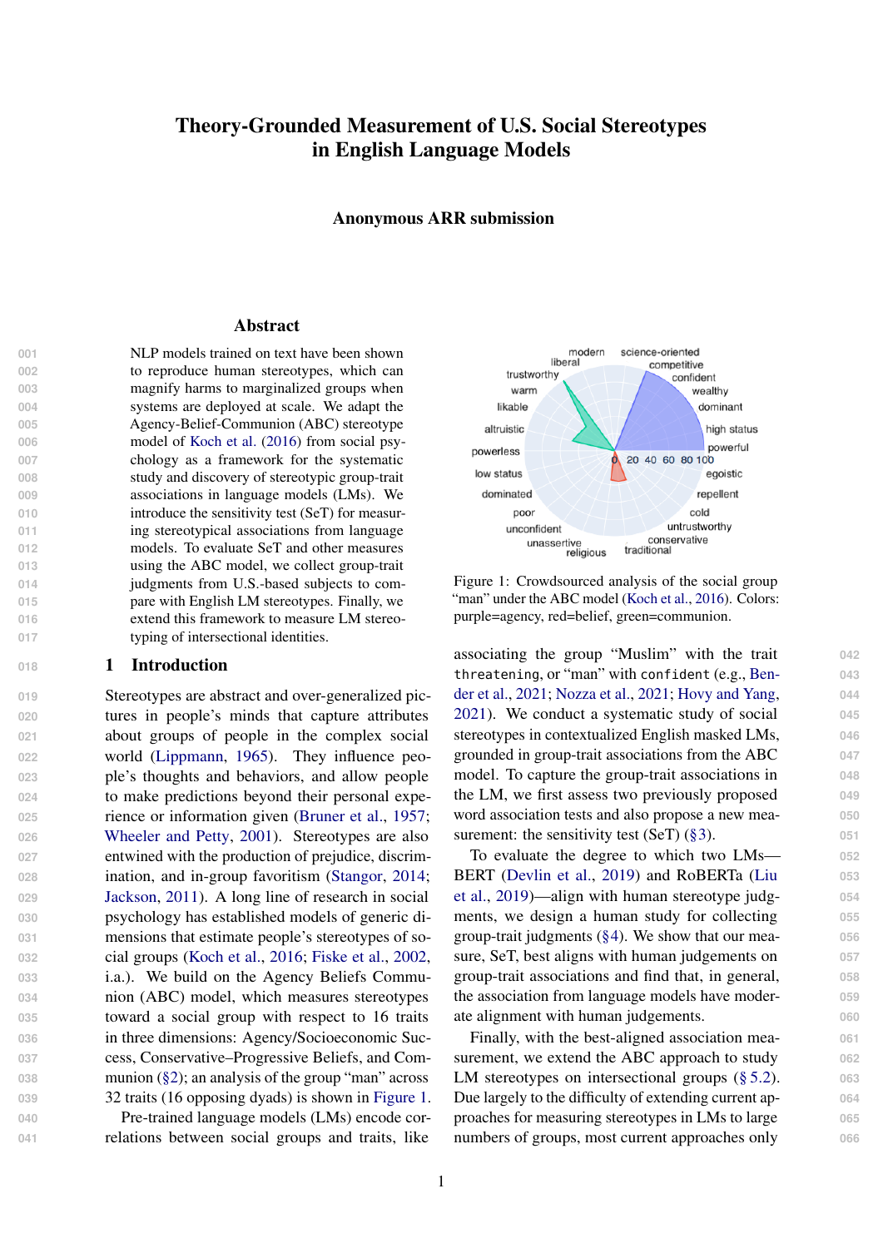# Theory-Grounded Measurement of U.S. Social Stereotypes in English Language Models

Anonymous ARR submission

#### **Abstract**

 NLP models trained on text have been shown to reproduce human stereotypes, which can magnify harms to marginalized groups when systems are deployed at scale. We adapt the Agency-Belief-Communion (ABC) stereotype 006 model of [Koch et al.](#page-9-0) [\(2016\)](#page-9-0) from social psy- chology as a framework for the systematic study and discovery of stereotypic group-trait associations in language models (LMs). We **introduce the sensitivity test (SeT) for measur-** ing stereotypical associations from language models. To evaluate SeT and other measures using the ABC model, we collect group-trait judgments from U.S.-based subjects to com- pare with English LM stereotypes. Finally, we extend this framework to measure LM stereo-017 typing of intersectional identities.

### **018 1 Introduction**

**Stereotypes are abstract and over-generalized pic-** tures in people's minds that capture attributes about groups of people in the complex social world [\(Lippmann,](#page-9-1) [1965\)](#page-9-1). They influence peo- ple's thoughts and behaviors, and allow people to make predictions beyond their personal expe- rience or information given [\(Bruner et al.,](#page-8-0) [1957;](#page-8-0) [Wheeler and Petty,](#page-9-2) [2001\)](#page-9-2). Stereotypes are also entwined with the production of prejudice, discrim- ination, and in-group favoritism [\(Stangor,](#page-9-3) [2014;](#page-9-3) [Jackson,](#page-9-4) [2011\)](#page-9-4). A long line of research in social psychology has established models of generic di- mensions that estimate people's stereotypes of so- cial groups [\(Koch et al.,](#page-9-0) [2016;](#page-9-0) [Fiske et al.,](#page-8-1) [2002,](#page-8-1) i.a.). We build on the Agency Beliefs Commu- nion (ABC) model, which measures stereotypes toward a social group with respect to 16 traits in three dimensions: Agency/Socioeconomic Suc- cess, Conservative–Progressive Beliefs, and Com-038 munion [\(§2\)](#page-1-0); an analysis of the group "man" across 32 traits (16 opposing dyads) is shown in [Figure 1.](#page-0-0)

**040** Pre-trained language models (LMs) encode cor-**041** relations between social groups and traits, like

<span id="page-0-0"></span>

Figure 1: Crowdsourced analysis of the social group "man" under the ABC model [\(Koch et al.,](#page-9-0) [2016\)](#page-9-0). Colors: purple=agency, red=belief, green=communion.

associating the group "Muslim" with the trait **042** [t](#page-8-2)hreatening, or "man" with confident (e.g., [Ben-](#page-8-2) **043** [der et al.,](#page-8-2) [2021;](#page-8-2) [Nozza et al.,](#page-9-5) [2021;](#page-9-5) [Hovy and Yang,](#page-9-6) **044** [2021\)](#page-9-6). We conduct a systematic study of social **045** stereotypes in contextualized English masked LMs, **046** grounded in group-trait associations from the ABC **047** model. To capture the group-trait associations in **048** the LM, we first assess two previously proposed **049** word association tests and also propose a new mea- **050** surement: the sensitivity test  $(SeT)$   $(\S 3)$ .  $051$ 

To evaluate the degree to which two LMs— **052** [B](#page-9-7)ERT [\(Devlin et al.,](#page-8-3) [2019\)](#page-8-3) and RoBERTa [\(Liu](#page-9-7) **053** [et al.,](#page-9-7) [2019\)](#page-9-7)—align with human stereotype judg- **054** ments, we design a human study for collecting **055** group-trait judgments [\(§4\)](#page-4-0). We show that our mea- **056** sure, SeT, best aligns with human judgements on **057** group-trait associations and find that, in general, **058** the association from language models have moder- **059** ate alignment with human judgements. **060**

Finally, with the best-aligned association mea- **061** surement, we extend the ABC approach to study 062 LM stereotypes on intersectional groups [\(§ 5.2\)](#page-5-0). 063 Due largely to the difficulty of extending current ap- **064** proaches for measuring stereotypes in LMs to large **065** numbers of groups, most current approaches only 066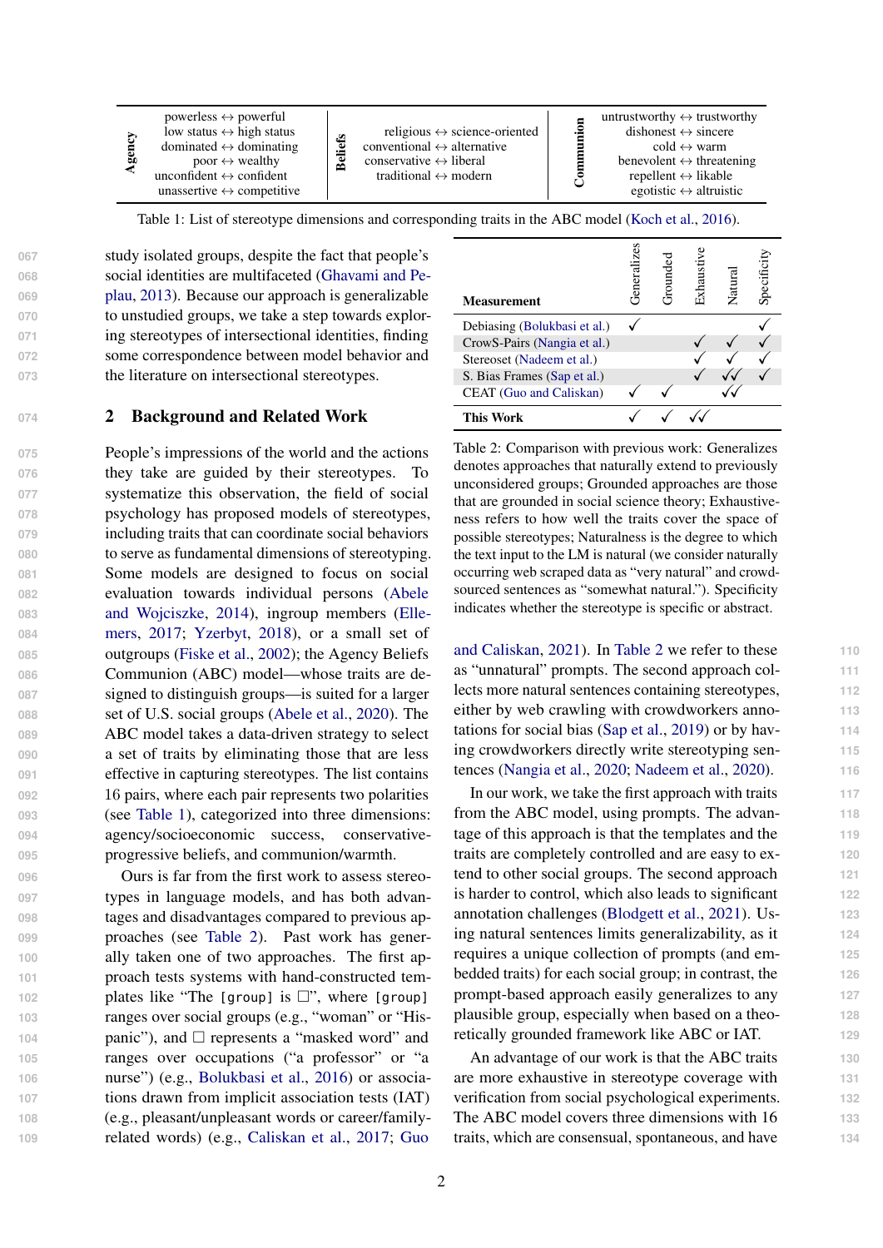<span id="page-1-1"></span>

| ы | powerless $\leftrightarrow$ powerful<br>low status $\leftrightarrow$ high status<br>dominated $\leftrightarrow$ dominating<br>poor $\leftrightarrow$ wealthy<br>unconfident $\leftrightarrow$ confident<br>unassertive $\leftrightarrow$ competitive | efs<br>Bel | religious $\leftrightarrow$ science-oriented<br>conventional $\leftrightarrow$ alternative<br>conservative $\leftrightarrow$ liberal<br>traditional $\leftrightarrow$ modern |  | untrustworthy $\leftrightarrow$ trustworthy<br>dishonest $\leftrightarrow$ sincere<br>$\text{cold} \leftrightarrow \text{warm}$<br>benevolent $\leftrightarrow$ threatening<br>repellent $\leftrightarrow$ likable<br>egotistic $\leftrightarrow$ altruistic |
|---|------------------------------------------------------------------------------------------------------------------------------------------------------------------------------------------------------------------------------------------------------|------------|------------------------------------------------------------------------------------------------------------------------------------------------------------------------------|--|--------------------------------------------------------------------------------------------------------------------------------------------------------------------------------------------------------------------------------------------------------------|
|---|------------------------------------------------------------------------------------------------------------------------------------------------------------------------------------------------------------------------------------------------------|------------|------------------------------------------------------------------------------------------------------------------------------------------------------------------------------|--|--------------------------------------------------------------------------------------------------------------------------------------------------------------------------------------------------------------------------------------------------------------|

Table 1: List of stereotype dimensions and corresponding traits in the ABC model [\(Koch et al.,](#page-9-0) [2016\)](#page-9-0).

 study isolated groups, despite the fact that people's [s](#page-8-4)ocial identities are multifaceted [\(Ghavami and Pe-](#page-8-4) [plau,](#page-8-4) [2013\)](#page-8-4). Because our approach is generalizable to unstudied groups, we take a step towards explor- ing stereotypes of intersectional identities, finding some correspondence between model behavior and the literature on intersectional stereotypes.

### <span id="page-1-0"></span>**<sup>074</sup>** 2 Background and Related Work

 People's impressions of the world and the actions they take are guided by their stereotypes. To systematize this observation, the field of social psychology has proposed models of stereotypes, including traits that can coordinate social behaviors to serve as fundamental dimensions of stereotyping. Some models are designed to focus on social [e](#page-8-5)valuation towards individual persons [\(Abele](#page-8-5) [and Wojciszke,](#page-8-5) [2014\)](#page-8-5), ingroup members [\(Elle-](#page-8-6) [mers,](#page-8-6) [2017;](#page-8-6) [Yzerbyt,](#page-9-8) [2018\)](#page-9-8), or a small set of outgroups [\(Fiske et al.,](#page-8-1) [2002\)](#page-8-1); the Agency Beliefs Communion (ABC) model—whose traits are de- signed to distinguish groups—is suited for a larger set of U.S. social groups [\(Abele et al.,](#page-8-7) [2020\)](#page-8-7). The ABC model takes a data-driven strategy to select a set of traits by eliminating those that are less effective in capturing stereotypes. The list contains 16 pairs, where each pair represents two polarities (see [Table 1\)](#page-1-1), categorized into three dimensions: agency/socioeconomic success, conservative-progressive beliefs, and communion/warmth.

 Ours is far from the first work to assess stereo- types in language models, and has both advan- tages and disadvantages compared to previous ap- proaches (see [Table 2\)](#page-1-2). Past work has gener- ally taken one of two approaches. The first ap- proach tests systems with hand-constructed tem- plates like "The [group] is □", where [group] ranges over social groups (e.g., "woman" or "His- panic"), and □ represents a "masked word" and ranges over occupations ("a professor" or "a nurse") (e.g., [Bolukbasi et al.,](#page-8-8) [2016\)](#page-8-8) or associa- tions drawn from implicit association tests (IAT) (e.g., pleasant/unpleasant words or career/family-[r](#page-8-10)elated words) (e.g., [Caliskan et al.,](#page-8-9) [2017;](#page-8-9) [Guo](#page-8-10)

<span id="page-1-2"></span>

| <b>Measurement</b>           | <b>Zes</b><br>Jenerali | Exhaustiv | Natura | Specifici |
|------------------------------|------------------------|-----------|--------|-----------|
| Debiasing (Bolukbasi et al.) |                        |           |        |           |
| CrowS-Pairs (Nangia et al.)  |                        |           |        |           |
| Stereoset (Nadeem et al.)    |                        |           |        |           |
| S. Bias Frames (Sap et al.)  |                        |           |        |           |
| CEAT (Guo and Caliskan)      |                        |           |        |           |
| This Work                    |                        |           |        |           |

Table 2: Comparison with previous work: Generalizes denotes approaches that naturally extend to previously unconsidered groups; Grounded approaches are those that are grounded in social science theory; Exhaustiveness refers to how well the traits cover the space of possible stereotypes; Naturalness is the degree to which the text input to the LM is natural (we consider naturally occurring web scraped data as "very natural" and crowdsourced sentences as "somewhat natural."). Specificity indicates whether the stereotype is specific or abstract.

[and Caliskan,](#page-8-10) [2021\)](#page-8-10). In [Table 2](#page-1-2) we refer to these **110** as "unnatural" prompts. The second approach col- **111** lects more natural sentences containing stereotypes, **112** either by web crawling with crowdworkers anno- **113** tations for social bias [\(Sap et al.,](#page-9-11) [2019\)](#page-9-11) or by hav- **114** ing crowdworkers directly write stereotyping sen- **115** tences [\(Nangia et al.,](#page-9-9) [2020;](#page-9-9) [Nadeem et al.,](#page-9-10) [2020\)](#page-9-10). **116**

In our work, we take the first approach with traits **117** from the ABC model, using prompts. The advan- **118** tage of this approach is that the templates and the **119** traits are completely controlled and are easy to ex- **120** tend to other social groups. The second approach **121** is harder to control, which also leads to significant **122** annotation challenges [\(Blodgett et al.,](#page-8-11) [2021\)](#page-8-11). Us- **123** ing natural sentences limits generalizability, as it **124** requires a unique collection of prompts (and em- **125** bedded traits) for each social group; in contrast, the **126** prompt-based approach easily generalizes to any **127** plausible group, especially when based on a theo- **128** retically grounded framework like ABC or IAT. **129**

An advantage of our work is that the ABC traits **130** are more exhaustive in stereotype coverage with **131** verification from social psychological experiments. **132** The ABC model covers three dimensions with 16 **133** traits, which are consensual, spontaneous, and have **134**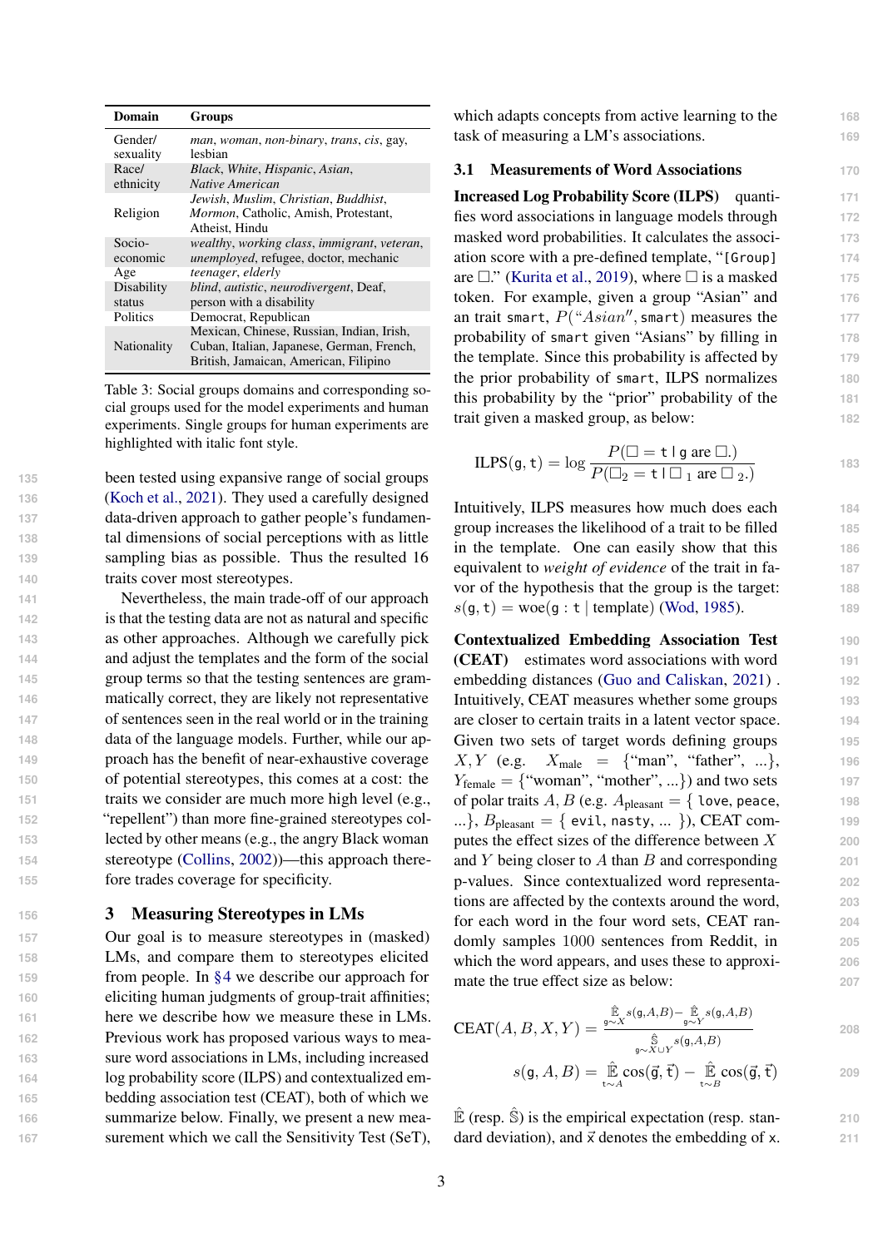<span id="page-2-1"></span>

| Domain               | Groups                                                     |
|----------------------|------------------------------------------------------------|
| Gender/<br>sexuality | <i>man, woman, non-binary, trans, cis, gay,</i><br>lesbian |
| Race/                | Black, White, Hispanic, Asian,                             |
| ethnicity            | Native American                                            |
|                      | Jewish, Muslim, Christian, Buddhist,                       |
| Religion             | <i>Mormon</i> , Catholic, Amish, Protestant,               |
|                      | Atheist. Hindu                                             |
| Socio-               | wealthy, working class, immigrant, veteran,                |
| economic             | unemployed, refugee, doctor, mechanic                      |
| Age                  | teenager, elderly                                          |
| Disability           | <i>blind, autistic, neurodivergent, Deaf,</i>              |
| status               | person with a disability                                   |
| Politics             | Democrat, Republican                                       |
|                      | Mexican, Chinese, Russian, Indian, Irish,                  |
| Nationality          | Cuban, Italian, Japanese, German, French,                  |
|                      | British, Jamaican, American, Filipino                      |

Table 3: Social groups domains and corresponding social groups used for the model experiments and human experiments. Single groups for human experiments are highlighted with italic font style.

 been tested using expansive range of social groups [\(Koch et al.,](#page-9-12) [2021\)](#page-9-12). They used a carefully designed data-driven approach to gather people's fundamen- tal dimensions of social perceptions with as little sampling bias as possible. Thus the resulted 16 traits cover most stereotypes.

 Nevertheless, the main trade-off of our approach is that the testing data are not as natural and specific as other approaches. Although we carefully pick and adjust the templates and the form of the social group terms so that the testing sentences are gram- matically correct, they are likely not representative of sentences seen in the real world or in the training data of the language models. Further, while our ap- proach has the benefit of near-exhaustive coverage of potential stereotypes, this comes at a cost: the traits we consider are much more high level (e.g., "repellent") than more fine-grained stereotypes col- lected by other means (e.g., the angry Black woman stereotype [\(Collins,](#page-8-12) [2002\)](#page-8-12))—this approach there-fore trades coverage for specificity.

## <span id="page-2-0"></span>**<sup>156</sup>** 3 Measuring Stereotypes in LMs

 Our goal is to measure stereotypes in (masked) LMs, and compare them to stereotypes elicited from people. In [§4](#page-4-0) we describe our approach for eliciting human judgments of group-trait affinities; here we describe how we measure these in LMs. Previous work has proposed various ways to mea- sure word associations in LMs, including increased log probability score (ILPS) and contextualized em- bedding association test (CEAT), both of which we summarize below. Finally, we present a new mea-surement which we call the Sensitivity Test (SeT), which adapts concepts from active learning to the 168 task of measuring a LM's associations. **169**

### <span id="page-2-2"></span>3.1 Measurements of Word Associations **170**

Increased Log Probability Score (ILPS) quanti- **171** fies word associations in language models through **172** masked word probabilities. It calculates the associ- **173** ation score with a pre-defined template, "[Group] **174** are  $\Box$ ." [\(Kurita et al.,](#page-9-13) [2019\)](#page-9-13), where  $\Box$  is a masked 175 token. For example, given a group "Asian" and **176** an trait smart,  $P("Asian", smart)$  measures the  $177$ probability of smart given "Asians" by filling in **178** the template. Since this probability is affected by **179** the prior probability of smart, ILPS normalizes **180** this probability by the "prior" probability of the **181** trait given a masked group, as below: **182**

$$
ILPS(g, t) = \log \frac{P(\square = t \mid g \text{ are } \square)}{P(\square_2 = t \mid \square_1 \text{ are } \square_2.)}
$$

Intuitively, ILPS measures how much does each **184** group increases the likelihood of a trait to be filled **185** in the template. One can easily show that this **186** equivalent to *weight of evidence* of the trait in fa- **187** vor of the hypothesis that the group is the target: **188**  $s(g, t) = woe(g : t | template)$  [\(Wod,](#page-9-14) [1985\)](#page-9-14).

Contextualized Embedding Association Test **190** (CEAT) estimates word associations with word **191** embedding distances [\(Guo and Caliskan,](#page-8-10) [2021\)](#page-8-10) . **192** Intuitively, CEAT measures whether some groups **193** are closer to certain traits in a latent vector space. **194** Given two sets of target words defining groups 195  $X, Y$  (e.g.  $X_{\text{male}} = \{$ "man", "father", ...}, 196  $Y_{\text{female}} = \{$ "woman", "mother", ...}) and two sets **197** of polar traits  $A, B$  (e.g.  $A_{\text{pleasant}} = \{ \text{love, peace}, \text{198} \}$ ...},  $B_{\text{pleasant}} = \{ \text{ evil, nasty, ... } \}$ , CEAT computes the effect sizes of the difference between X **200** and Y being closer to A than B and corresponding **201** p-values. Since contextualized word representa- **202** tions are affected by the contexts around the word, **203** for each word in the four word sets, CEAT ran- **204** domly samples 1000 sentences from Reddit, in **205** which the word appears, and uses these to approxi- **206** mate the true effect size as below: **207** 

$$
\text{CEAT}(A, B, X, Y) = \frac{\hat{\mathbb{E}}_{\mathcal{S}^{\mathcal{S}}}(g, A, B) - \hat{\mathbb{E}}_{\mathcal{S}^{\mathcal{S}}}(g, A, B)}{\hat{\mathbb{S}}_{\mathcal{S}^{\mathcal{S}}(X)}(g, A, B)}
$$
\n
$$
s(g, A, B) = \hat{\mathbb{E}}_{\mathcal{S}^{\mathcal{S}}(A)} \cos(\vec{g}, \vec{t}) - \hat{\mathbb{E}}_{\mathcal{S}^{\mathcal{S}}(B)} \cos(\vec{g}, \vec{t})
$$
\n
$$
208
$$

 $\mathbb{\hat{E}}$  (resp.  $\mathbb{\hat{S}}$ ) is the empirical expectation (resp. stan- **210** dard deviation), and  $\vec{x}$  denotes the embedding of x.  $211$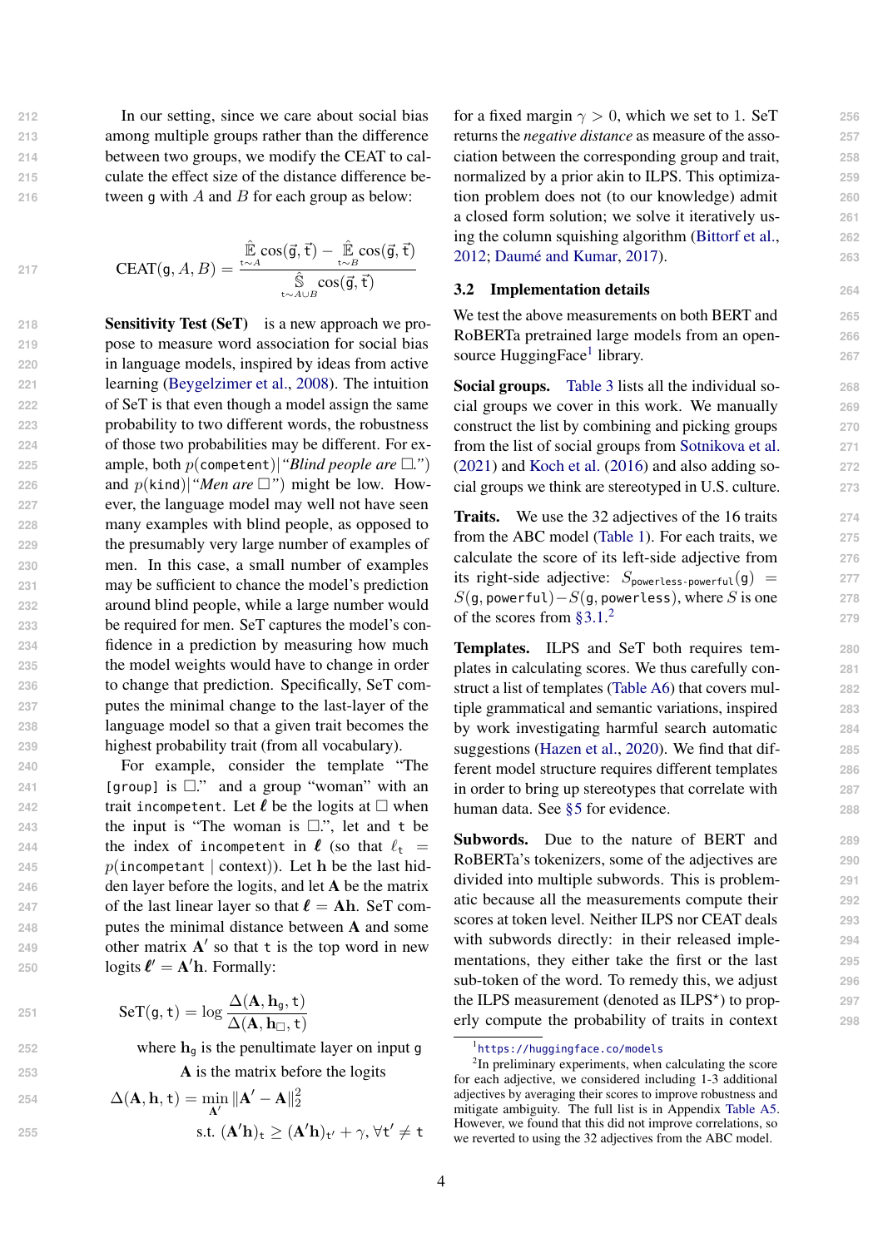**212** In our setting, since we care about social bias **213** among multiple groups rather than the difference

**214** between two groups, we modify the CEAT to cal-**215** culate the effect size of the distance difference be-

**216** tween g with A and B for each group as below:

$$
\overline{a}
$$

**251**

**254**

**217**

 $CEAT(a, A)$ 

$$
,B)=\frac{\mathbb{\hat{E}}\cos(\vec{\mathsf{g}},\vec{\mathsf{t}})-\mathbb{\hat{E}}\cos(\vec{\mathsf{g}},\vec{\mathsf{t}})}{\mathbb{\hat{S}}\cos(\vec{\mathsf{g}},\vec{\mathsf{t}})}{\mathbb{\hat{S}}\cos(\vec{\mathsf{g}},\vec{\mathsf{t}})}
$$

 Sensitivity Test (SeT) is a new approach we pro- pose to measure word association for social bias in language models, inspired by ideas from active learning [\(Beygelzimer et al.,](#page-8-13) [2008\)](#page-8-13). The intuition of SeT is that even though a model assign the same probability to two different words, the robustness of those two probabilities may be different. For ex- ample, both p(competent)|*"Blind people are* □*."*) 226 and  $p(\text{kind})$ |*"Men are*  $\square$ ") might be low. How- ever, the language model may well not have seen many examples with blind people, as opposed to the presumably very large number of examples of men. In this case, a small number of examples may be sufficient to chance the model's prediction around blind people, while a large number would be required for men. SeT captures the model's con- fidence in a prediction by measuring how much the model weights would have to change in order to change that prediction. Specifically, SeT com- putes the minimal change to the last-layer of the language model so that a given trait becomes the highest probability trait (from all vocabulary).

 For example, consider the template "The [group] is  $\square$ ." and a group "woman" with an **trait incompetent.** Let  $\ell$  be the logits at  $\Box$  when the input is "The woman is □.", let and <sup>t</sup> be **the index of incompetent in**  $\ell$  (so that  $\ell_t$  =  $p(\text{incompact} \mid \text{context})$ ). Let **h** be the last hid- den layer before the logits, and let A be the matrix 247 of the last linear layer so that  $\ell = Ah$ . SeT com- putes the minimal distance between A and some 249 other matrix  $A'$  so that t is the top word in new **logits**  $\ell' = A'h$ **. Formally:** 

$$
SeT(\textbf{g},\textbf{t})=\log\frac{\Delta(\textbf{A},\textbf{h}_\textbf{g},\textbf{t})}{\Delta(\textbf{A},\textbf{h}_\Box,\textbf{t})}
$$

 $252$  where  $h_{\alpha}$  is the penultimate layer on input g

**253** A is the matrix before the logits

254 
$$
\Delta(\mathbf{A}, \mathbf{h}, t) = \min_{\mathbf{A}'} ||\mathbf{A}' - \mathbf{A}||_2^2
$$
  
255 s.t. 
$$
(\mathbf{A}'\mathbf{h})_t \geq (\mathbf{A}'\mathbf{h})_{t'} + \gamma, \forall t' \neq t
$$

for a fixed margin  $\gamma > 0$ , which we set to 1. SeT 256 returns the *negative distance* as measure of the asso- **257** ciation between the corresponding group and trait, **258** normalized by a prior akin to ILPS. This optimiza- **259** tion problem does not (to our knowledge) admit **260** a closed form solution; we solve it iteratively us- **261** ing the column squishing algorithm [\(Bittorf et al.,](#page-8-14) **262** [2012;](#page-8-14) [Daumé and Kumar,](#page-8-15) [2017\)](#page-8-15). **263**

## 3.2 Implementation details **264**

We test the above measurements on both BERT and **265** RoBERTa pretrained large models from an open- **266** source HuggingFace<sup>[1](#page-3-0)</sup> library. 267

Social groups. [Table 3](#page-2-1) lists all the individual so- **268** cial groups we cover in this work. We manually **269** construct the list by combining and picking groups **270** from the list of social groups from [Sotnikova et al.](#page-9-15) **271** [\(2021\)](#page-9-15) and [Koch et al.](#page-9-0) [\(2016\)](#page-9-0) and also adding so- **272** cial groups we think are stereotyped in U.S. culture. **273**

Traits. We use the 32 adjectives of the 16 traits **274** from the ABC model [\(Table 1\)](#page-1-1). For each traits, we **275** calculate the score of its left-side adjective from **276** its right-side adjective:  $S_{powerless-powerful}(g) = 277$  $S(q, \text{powerful}) - S(q, \text{powerless})$ , where S is one 278 of the scores from [§3.1.](#page-2-2) [2](#page-3-1)

**279**

Templates. ILPS and SeT both requires tem- **280** plates in calculating scores. We thus carefully con- **281** struct a list of templates [\(Table A6\)](#page-11-0) that covers mul- **282** tiple grammatical and semantic variations, inspired **283** by work investigating harmful search automatic **284** suggestions [\(Hazen et al.,](#page-8-16) [2020\)](#page-8-16). We find that dif- **285** ferent model structure requires different templates **286** in order to bring up stereotypes that correlate with **287** human data. See [§5](#page-4-1) for evidence. **288** 

Subwords. Due to the nature of BERT and **289** RoBERTa's tokenizers, some of the adjectives are **290** divided into multiple subwords. This is problem- **291** atic because all the measurements compute their **292** scores at token level. Neither ILPS nor CEAT deals **293** with subwords directly: in their released imple- 294 mentations, they either take the first or the last **295** sub-token of the word. To remedy this, we adjust **296** the ILPS measurement (denoted as ILPS<sup>\*</sup>) to prop-<br>297 erly compute the probability of traits in context **298**

<span id="page-3-1"></span><span id="page-3-0"></span><sup>1</sup> <https://huggingface.co/models>

<sup>&</sup>lt;sup>2</sup>In preliminary experiments, when calculating the score for each adjective, we considered including 1-3 additional adjectives by averaging their scores to improve robustness and mitigate ambiguity. The full list is in Appendix [Table A5.](#page-10-0) However, we found that this did not improve correlations, so we reverted to using the 32 adjectives from the ABC model.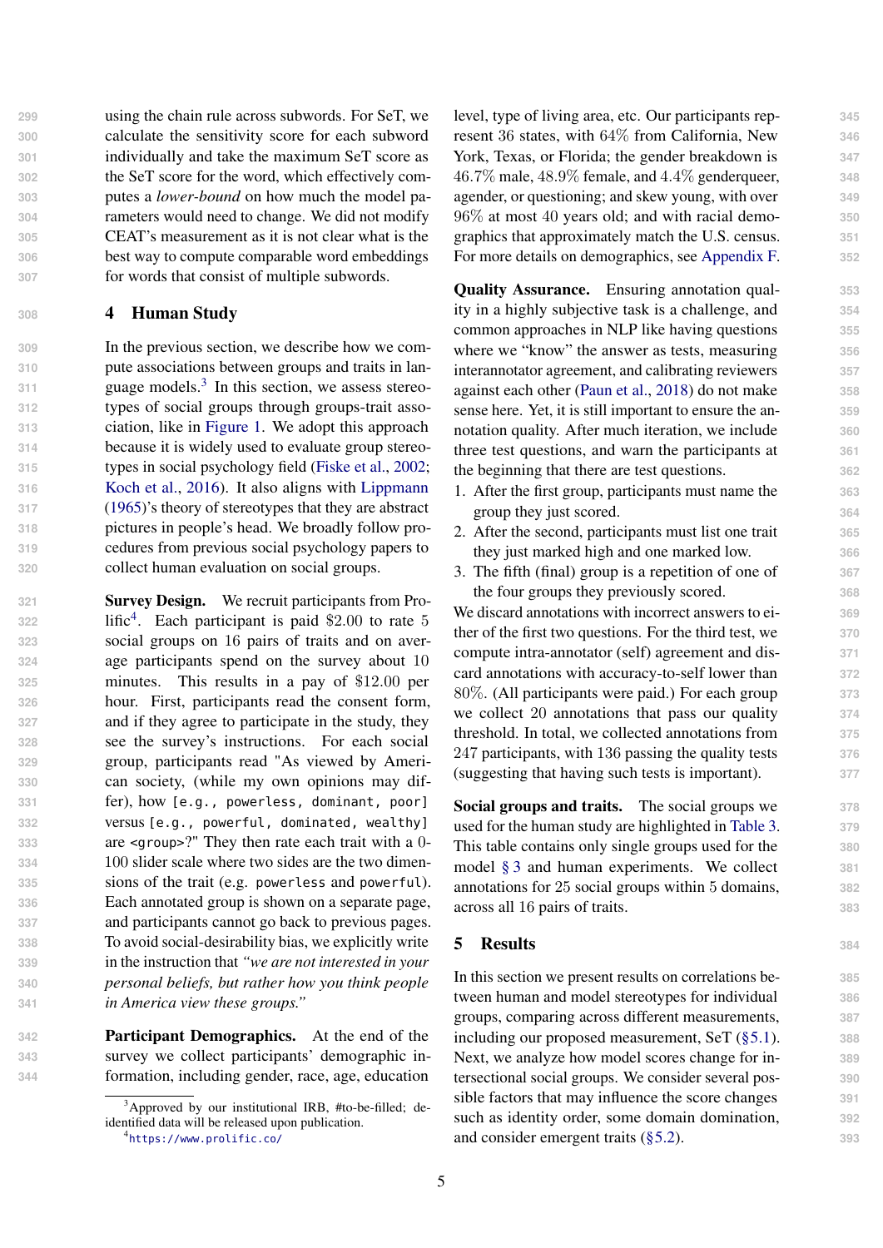using the chain rule across subwords. For SeT, we calculate the sensitivity score for each subword individually and take the maximum SeT score as the SeT score for the word, which effectively com- putes a *lower-bound* on how much the model pa- rameters would need to change. We did not modify CEAT's measurement as it is not clear what is the best way to compute comparable word embeddings for words that consist of multiple subwords.

## <span id="page-4-0"></span>**<sup>308</sup>** 4 Human Study

 In the previous section, we describe how we com- pute associations between groups and traits in lan- $311$  guage models.<sup>3</sup> In this section, we assess stereo- types of social groups through groups-trait asso- ciation, like in [Figure 1.](#page-0-0) We adopt this approach because it is widely used to evaluate group stereo- types in social psychology field [\(Fiske et al.,](#page-8-1) [2002;](#page-8-1) [Koch et al.,](#page-9-0) [2016\)](#page-9-0). It also aligns with [Lippmann](#page-9-1) [\(1965\)](#page-9-1)'s theory of stereotypes that they are abstract pictures in people's head. We broadly follow pro- cedures from previous social psychology papers to collect human evaluation on social groups.

 Survey Design. We recruit participants from Pro-322 lific<sup>[4](#page-4-3)</sup>. Each participant is paid \$2.00 to rate 5 social groups on 16 pairs of traits and on aver- age participants spend on the survey about 10 minutes. This results in a pay of \$12.00 per hour. First, participants read the consent form, and if they agree to participate in the study, they see the survey's instructions. For each social group, participants read "As viewed by Ameri- can society, (while my own opinions may dif- fer), how [e.g., powerless, dominant, poor] versus [e.g., powerful, dominated, wealthy] are <group>?" They then rate each trait with a 0- 100 slider scale where two sides are the two dimen- sions of the trait (e.g. powerless and powerful). Each annotated group is shown on a separate page, and participants cannot go back to previous pages. To avoid social-desirability bias, we explicitly write in the instruction that *"we are not interested in your personal beliefs, but rather how you think people in America view these groups."*

**342** Participant Demographics. At the end of the **343** survey we collect participants' demographic in-**344** formation, including gender, race, age, education

level, type of living area, etc. Our participants rep- **345** resent 36 states, with 64% from California, New **346** York, Texas, or Florida; the gender breakdown is  $347$ 46.7% male, 48.9% female, and 4.4% genderqueer, **348** agender, or questioning; and skew young, with over **349** 96% at most 40 years old; and with racial demo- **350** graphics that approximately match the U.S. census. **351** For more details on demographics, see [Appendix F.](#page-12-0) **352**

Quality Assurance. Ensuring annotation qual- **353** ity in a highly subjective task is a challenge, and **354** common approaches in NLP like having questions **355** where we "know" the answer as tests, measuring  $356$ interannotator agreement, and calibrating reviewers **357** against each other [\(Paun et al.,](#page-9-16) [2018\)](#page-9-16) do not make **358** sense here. Yet, it is still important to ensure the an- **359** notation quality. After much iteration, we include **360** three test questions, and warn the participants at **361** the beginning that there are test questions. **362**

- 1. After the first group, participants must name the **363** group they just scored. **364**
- 2. After the second, participants must list one trait **365** they just marked high and one marked low. **366**
- 3. The fifth (final) group is a repetition of one of **367** the four groups they previously scored. **368**

We discard annotations with incorrect answers to ei- **369** ther of the first two questions. For the third test, we **370** compute intra-annotator (self) agreement and dis- **371** card annotations with accuracy-to-self lower than **372** 80%. (All participants were paid.) For each group **373** we collect 20 annotations that pass our quality **374** threshold. In total, we collected annotations from **375** 247 participants, with 136 passing the quality tests **376** (suggesting that having such tests is important). **377**

Social groups and traits. The social groups we **378** used for the human study are highlighted in [Table 3.](#page-2-1) **379** This table contains only single groups used for the **380** model [§ 3](#page-2-0) and human experiments. We collect **381** annotations for 25 social groups within 5 domains, **382** across all 16 pairs of traits. **383**

## <span id="page-4-1"></span>5 Results **<sup>384</sup>**

In this section we present results on correlations be- **385** tween human and model stereotypes for individual **386** groups, comparing across different measurements, **387** including our proposed measurement, SeT [\(§5.1\)](#page-5-1). **388** Next, we analyze how model scores change for in- **389** tersectional social groups. We consider several pos- **390** sible factors that may influence the score changes **391** such as identity order, some domain domination, **392** and consider emergent traits [\(§5.2\)](#page-5-0). <sup>393</sup>

<span id="page-4-2"></span> $3A$ pproved by our institutional IRB, #to-be-filled; deidentified data will be released upon publication.

<span id="page-4-3"></span><sup>4</sup> <https://www.prolific.co/>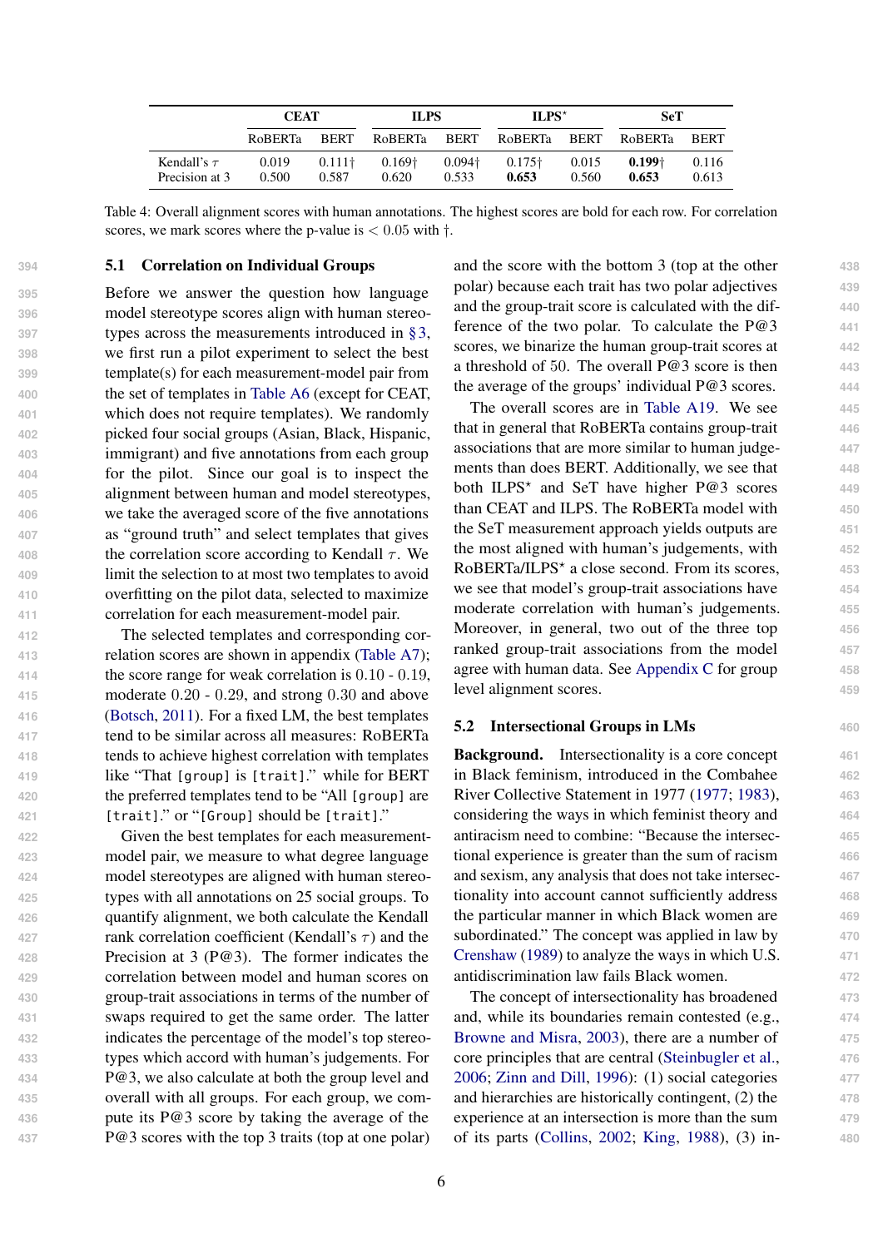|                                    | <b>CEAT</b>    |                         | ILPS                    |                         | $ILPS*$                 |                | <b>SeT</b>        |                |
|------------------------------------|----------------|-------------------------|-------------------------|-------------------------|-------------------------|----------------|-------------------|----------------|
|                                    | <b>ROBERTa</b> | <b>BERT</b>             | <b>RoBERTa</b>          | BERT                    | <b>RoBERTa</b>          | BERT           | RoBERTa           | BERT           |
| Kendall's $\tau$<br>Precision at 3 | 0.019<br>0.500 | $0.111\dagger$<br>0.587 | $0.169\dagger$<br>0.620 | $0.094\dagger$<br>0.533 | $0.175\dagger$<br>0.653 | 0.015<br>0.560 | $0.199+$<br>0.653 | 0.116<br>0.613 |

<span id="page-5-1"></span>Table 4: Overall alignment scores with human annotations. The highest scores are bold for each row. For correlation scores, we mark scores where the p-value is  $< 0.05$  with  $\dagger$ .

## **394** 5.1 Correlation on Individual Groups

 Before we answer the question how language model stereotype scores align with human stereo- types across the measurements introduced in [§3,](#page-2-0) we first run a pilot experiment to select the best template(s) for each measurement-model pair from the set of templates in [Table A6](#page-11-0) (except for CEAT, which does not require templates). We randomly picked four social groups (Asian, Black, Hispanic, immigrant) and five annotations from each group for the pilot. Since our goal is to inspect the alignment between human and model stereotypes, we take the averaged score of the five annotations as "ground truth" and select templates that gives the correlation score according to Kendall  $\tau$ . We limit the selection to at most two templates to avoid overfitting on the pilot data, selected to maximize correlation for each measurement-model pair.

 The selected templates and corresponding cor- relation scores are shown in appendix [\(Table A7\)](#page-11-1); the score range for weak correlation is 0.10 - 0.19, moderate 0.20 - 0.29, and strong 0.30 and above [\(Botsch,](#page-8-17) [2011\)](#page-8-17). For a fixed LM, the best templates tend to be similar across all measures: RoBERTa tends to achieve highest correlation with templates like "That [group] is [trait]." while for BERT the preferred templates tend to be "All [group] are [trait]." or "[Group] should be [trait]."

 Given the best templates for each measurement- model pair, we measure to what degree language model stereotypes are aligned with human stereo- types with all annotations on 25 social groups. To quantify alignment, we both calculate the Kendall **rank correlation coefficient (Kendall's**  $\tau$ **) and the**  Precision at 3 (P@3). The former indicates the correlation between model and human scores on group-trait associations in terms of the number of swaps required to get the same order. The latter indicates the percentage of the model's top stereo- types which accord with human's judgements. For P@3, we also calculate at both the group level and overall with all groups. For each group, we com- pute its P@3 score by taking the average of the P@3 scores with the top 3 traits (top at one polar) and the score with the bottom 3 (top at the other **438** polar) because each trait has two polar adjectives **439** and the group-trait score is calculated with the dif- **440** ference of the two polar. To calculate the P@3 **441** scores, we binarize the human group-trait scores at  $442$ a threshold of 50. The overall P@3 score is then **443** the average of the groups' individual P@3 scores. **444**

The overall scores are in [Table A19.](#page-18-0) We see **445** that in general that RoBERTa contains group-trait **446** associations that are more similar to human judge- **447** ments than does BERT. Additionally, we see that **448** both ILPS<sup>\*</sup> and SeT have higher P@3 scores 449 than CEAT and ILPS. The RoBERTa model with **450** the SeT measurement approach yields outputs are **451** the most aligned with human's judgements, with **452** RoBERTa/ILPS<sup>\*</sup> a close second. From its scores, 453 we see that model's group-trait associations have **454** moderate correlation with human's judgements. **455** Moreover, in general, two out of the three top **456** ranked group-trait associations from the model **457** agree with human data. See [Appendix C](#page-11-2) for group **458** level alignment scores. **459**

#### <span id="page-5-0"></span>5.2 Intersectional Groups in LMs **460**

**Background.** Intersectionality is a core concept 461 in Black feminism, introduced in the Combahee **462** River Collective Statement in 1977 [\(1977;](#page-8-18) [1983\)](#page-8-19), **463** considering the ways in which feminist theory and **464** antiracism need to combine: "Because the intersec- **465** tional experience is greater than the sum of racism **466** and sexism, any analysis that does not take intersec- **467** tionality into account cannot sufficiently address **468** the particular manner in which Black women are **469** subordinated." The concept was applied in law by  $470$ [Crenshaw](#page-8-20) [\(1989\)](#page-8-20) to analyze the ways in which U.S. **471** antidiscrimination law fails Black women. **472**

The concept of intersectionality has broadened **473** and, while its boundaries remain contested (e.g., **474** [Browne and Misra,](#page-8-21) [2003\)](#page-8-21), there are a number of  $475$ core principles that are central [\(Steinbugler et al.,](#page-9-17) **476** [2006;](#page-9-17) [Zinn and Dill,](#page-9-18) [1996\)](#page-9-18): (1) social categories **477** and hierarchies are historically contingent, (2) the **478** experience at an intersection is more than the sum **479** of its parts [\(Collins,](#page-8-12) [2002;](#page-8-12) [King,](#page-9-19) [1988\)](#page-9-19), (3) in- **480**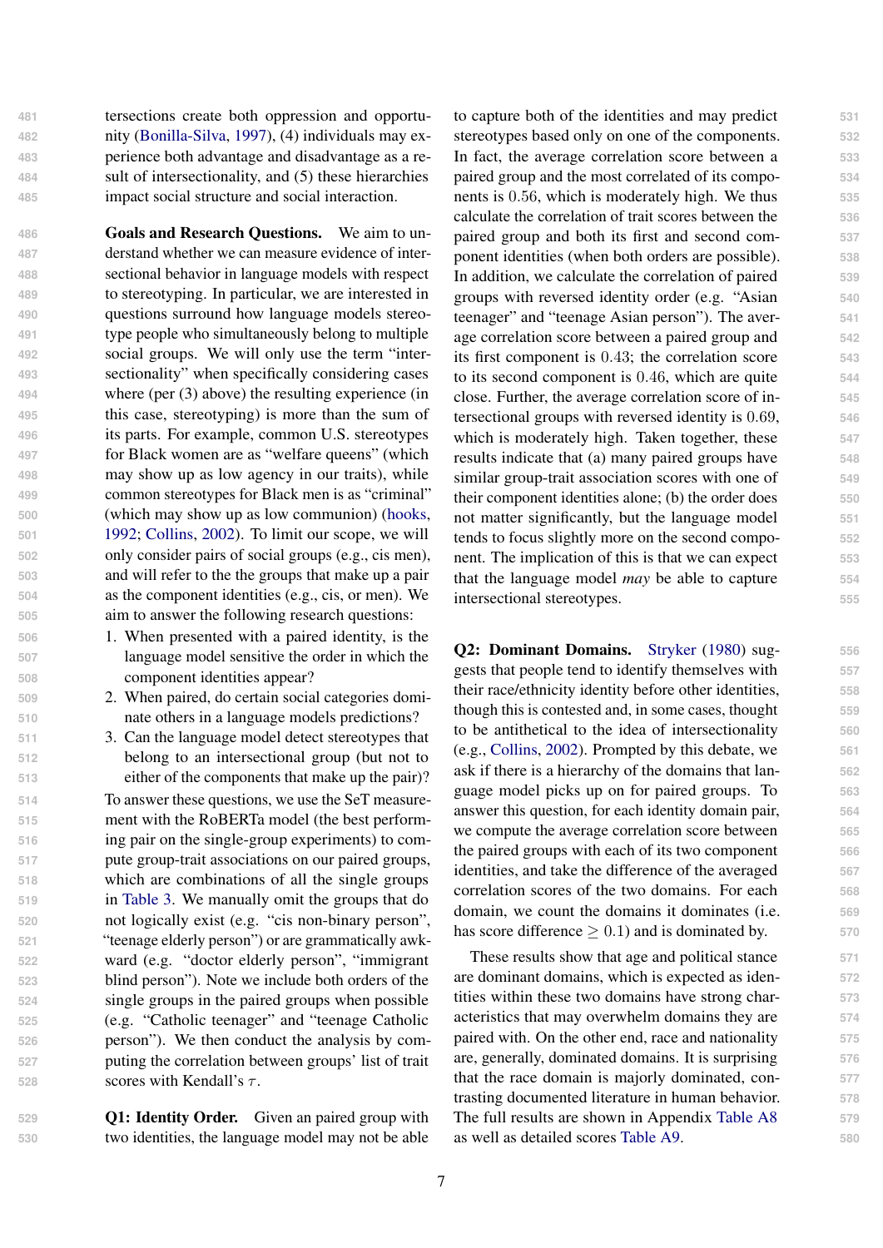tersections create both oppression and opportu- nity [\(Bonilla-Silva,](#page-8-22) [1997\)](#page-8-22), (4) individuals may ex- perience both advantage and disadvantage as a re- sult of intersectionality, and (5) these hierarchies impact social structure and social interaction.

 Goals and Research Questions. We aim to un- derstand whether we can measure evidence of inter- sectional behavior in language models with respect to stereotyping. In particular, we are interested in questions surround how language models stereo- type people who simultaneously belong to multiple social groups. We will only use the term "inter- sectionality" when specifically considering cases where (per (3) above) the resulting experience (in this case, stereotyping) is more than the sum of its parts. For example, common U.S. stereotypes for Black women are as "welfare queens" (which may show up as low agency in our traits), while common stereotypes for Black men is as "criminal" (which may show up as low communion) [\(hooks,](#page-8-23) [1992;](#page-8-23) [Collins,](#page-8-12) [2002\)](#page-8-12). To limit our scope, we will only consider pairs of social groups (e.g., cis men), and will refer to the the groups that make up a pair as the component identities (e.g., cis, or men). We aim to answer the following research questions:

- **506** 1. When presented with a paired identity, is the **507** language model sensitive the order in which the **508** component identities appear?
- **509** 2. When paired, do certain social categories domi-**510** nate others in a language models predictions?
- **511** 3. Can the language model detect stereotypes that **512** belong to an intersectional group (but not to **513** either of the components that make up the pair)?

 To answer these questions, we use the SeT measure- ment with the RoBERTa model (the best perform- ing pair on the single-group experiments) to com- pute group-trait associations on our paired groups, which are combinations of all the single groups in [Table 3.](#page-2-1) We manually omit the groups that do not logically exist (e.g. "cis non-binary person", "teenage elderly person") or are grammatically awk- ward (e.g. "doctor elderly person", "immigrant blind person"). Note we include both orders of the single groups in the paired groups when possible (e.g. "Catholic teenager" and "teenage Catholic person"). We then conduct the analysis by com- puting the correlation between groups' list of trait scores with Kendall's τ .

**529** Q1: Identity Order. Given an paired group with **530** two identities, the language model may not be able to capture both of the identities and may predict **531** stereotypes based only on one of the components. **532** In fact, the average correlation score between a **533** paired group and the most correlated of its compo- **534** nents is 0.56, which is moderately high. We thus **535** calculate the correlation of trait scores between the **536** paired group and both its first and second com- **537** ponent identities (when both orders are possible). **538** In addition, we calculate the correlation of paired **539** groups with reversed identity order (e.g. "Asian **540** teenager" and "teenage Asian person"). The aver- **541** age correlation score between a paired group and **542** its first component is 0.43; the correlation score **543** to its second component is 0.46, which are quite **544** close. Further, the average correlation score of in- **545** tersectional groups with reversed identity is 0.69, **546** which is moderately high. Taken together, these  $547$ results indicate that (a) many paired groups have **548** similar group-trait association scores with one of  $549$ their component identities alone; (b) the order does **550** not matter significantly, but the language model **551** tends to focus slightly more on the second compo- **552** nent. The implication of this is that we can expect **553** that the language model *may* be able to capture **554** intersectional stereotypes. **555**

Q2: Dominant Domains. [Stryker](#page-9-20) [\(1980\)](#page-9-20) sug- **556** gests that people tend to identify themselves with **557** their race/ethnicity identity before other identities, **558** though this is contested and, in some cases, thought **559** to be antithetical to the idea of intersectionality **560** (e.g., [Collins,](#page-8-12) [2002\)](#page-8-12). Prompted by this debate, we **561** ask if there is a hierarchy of the domains that lan- **562** guage model picks up on for paired groups. To **563** answer this question, for each identity domain pair, **564** we compute the average correlation score between  $565$ the paired groups with each of its two component **566** identities, and take the difference of the averaged **567** correlation scores of the two domains. For each **568** domain, we count the domains it dominates (i.e. **569** has score difference  $> 0.1$ ) and is dominated by.  $570$ 

These results show that age and political stance **571** are dominant domains, which is expected as iden- **572** tities within these two domains have strong char- **573** acteristics that may overwhelm domains they are **574** paired with. On the other end, race and nationality **575** are, generally, dominated domains. It is surprising **576** that the race domain is majorly dominated, con- **577** trasting documented literature in human behavior. **578** The full results are shown in Appendix [Table A8](#page-11-3) **579** as well as detailed scores [Table A9.](#page-12-1) **580**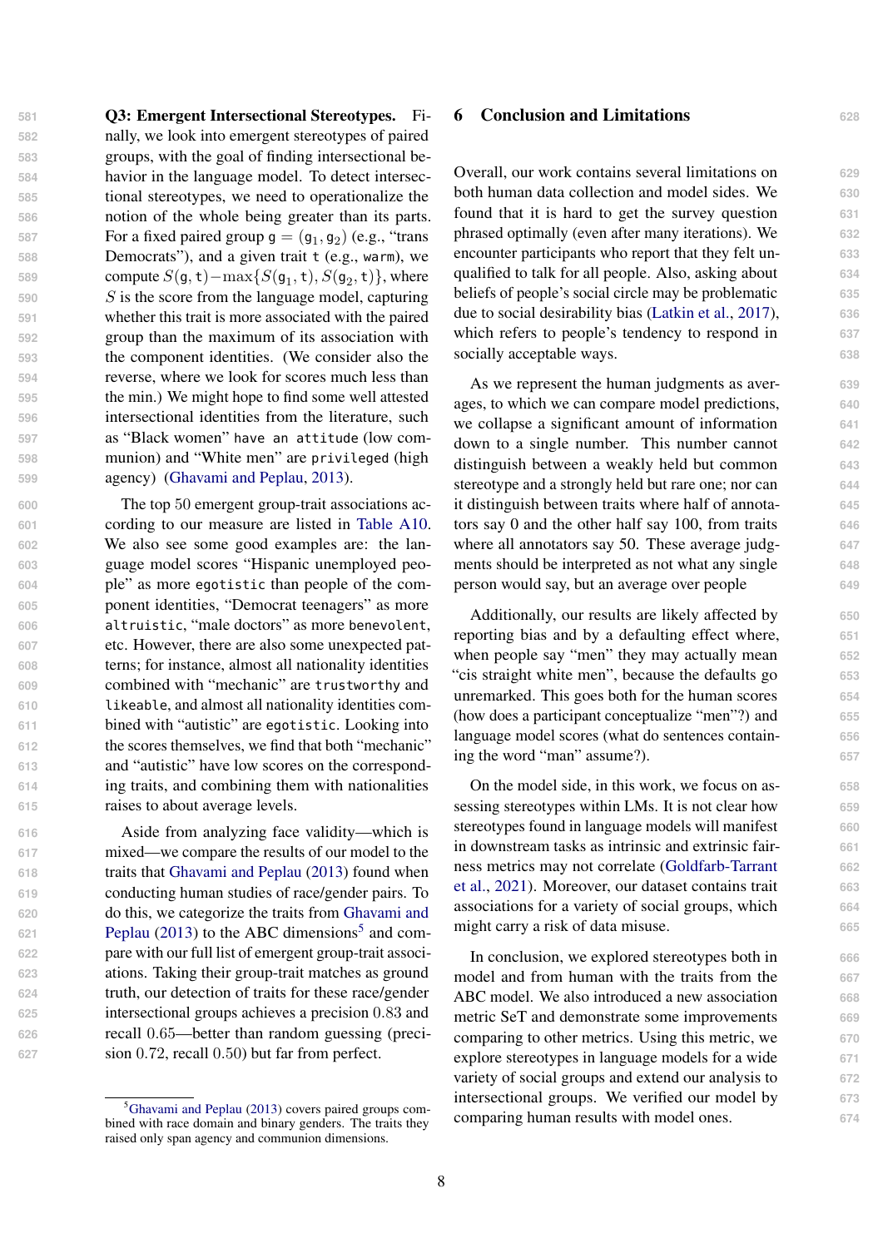Q3: Emergent Intersectional Stereotypes. Fi- nally, we look into emergent stereotypes of paired groups, with the goal of finding intersectional be- havior in the language model. To detect intersec- tional stereotypes, we need to operationalize the notion of the whole being greater than its parts. **For a fixed paired group**  $g = (g_1, g_2)$  **(e.g., "trans")**  Democrats"), and a given trait t (e.g., warm), we **compute**  $S(\mathsf{g},\mathsf{t}) - \max\{S(\mathsf{g}_1,\mathsf{t}),S(\mathsf{g}_2,\mathsf{t})\}$ , where 590 S is the score from the language model, capturing whether this trait is more associated with the paired group than the maximum of its association with the component identities. (We consider also the reverse, where we look for scores much less than the min.) We might hope to find some well attested intersectional identities from the literature, such as "Black women" have an attitude (low com- munion) and "White men" are privileged (high agency) [\(Ghavami and Peplau,](#page-8-4) [2013\)](#page-8-4).

 The top 50 emergent group-trait associations ac- cording to our measure are listed in [Table A10.](#page-14-0) We also see some good examples are: the lan- guage model scores "Hispanic unemployed peo- ple" as more egotistic than people of the com- ponent identities, "Democrat teenagers" as more altruistic, "male doctors" as more benevolent, etc. However, there are also some unexpected pat- terns; for instance, almost all nationality identities combined with "mechanic" are trustworthy and likeable, and almost all nationality identities com- bined with "autistic" are egotistic. Looking into the scores themselves, we find that both "mechanic" and "autistic" have low scores on the correspond- ing traits, and combining them with nationalities raises to about average levels.

 Aside from analyzing face validity—which is mixed—we compare the results of our model to the traits that [Ghavami and Peplau](#page-8-4) [\(2013\)](#page-8-4) found when conducting human studies of race/gender pairs. To [d](#page-8-4)o this, we categorize the traits from [Ghavami and](#page-8-4) [Peplau](#page-8-4) [\(2013\)](#page-8-4) to the ABC dimensions<sup>[5](#page-7-0)</sup> and com- pare with our full list of emergent group-trait associ- ations. Taking their group-trait matches as ground truth, our detection of traits for these race/gender intersectional groups achieves a precision 0.83 and recall 0.65—better than random guessing (preci-sion 0.72, recall 0.50) but far from perfect.

## 6 Conclusion and Limitations **<sup>628</sup>**

Overall, our work contains several limitations on **629** both human data collection and model sides. We **630** found that it is hard to get the survey question **631** phrased optimally (even after many iterations). We **632** encounter participants who report that they felt un- **633** qualified to talk for all people. Also, asking about **634** beliefs of people's social circle may be problematic **635** due to social desirability bias [\(Latkin et al.,](#page-9-21) [2017\)](#page-9-21), **636** which refers to people's tendency to respond in 637 socially acceptable ways. 638

As we represent the human judgments as aver- **639** ages, to which we can compare model predictions, **640** we collapse a significant amount of information **641** down to a single number. This number cannot **642** distinguish between a weakly held but common **643** stereotype and a strongly held but rare one; nor can **644** it distinguish between traits where half of annota- **645** tors say 0 and the other half say 100, from traits **646** where all annotators say 50. These average judg- 647 ments should be interpreted as not what any single **648** person would say, but an average over people **649**

Additionally, our results are likely affected by **650** reporting bias and by a defaulting effect where, **651** when people say "men" they may actually mean 652 "cis straight white men", because the defaults go **653** unremarked. This goes both for the human scores **654** (how does a participant conceptualize "men"?) and **655** language model scores (what do sentences contain- **656** ing the word "man" assume?). **657**

On the model side, in this work, we focus on as- **658** sessing stereotypes within LMs. It is not clear how **659** stereotypes found in language models will manifest **660** in downstream tasks as intrinsic and extrinsic fair- **661** [n](#page-8-24)ess metrics may not correlate [\(Goldfarb-Tarrant](#page-8-24) **662** [et al.,](#page-8-24) [2021\)](#page-8-24). Moreover, our dataset contains trait **663** associations for a variety of social groups, which **664** might carry a risk of data misuse. 665

In conclusion, we explored stereotypes both in **666** model and from human with the traits from the **667** ABC model. We also introduced a new association **668** metric SeT and demonstrate some improvements **669** comparing to other metrics. Using this metric, we **670** explore stereotypes in language models for a wide **671** variety of social groups and extend our analysis to **672** intersectional groups. We verified our model by **673** comparing human results with model ones. **674**

<span id="page-7-0"></span><sup>&</sup>lt;sup>5</sup>[Ghavami and Peplau](#page-8-4) [\(2013\)](#page-8-4) covers paired groups combined with race domain and binary genders. The traits they raised only span agency and communion dimensions.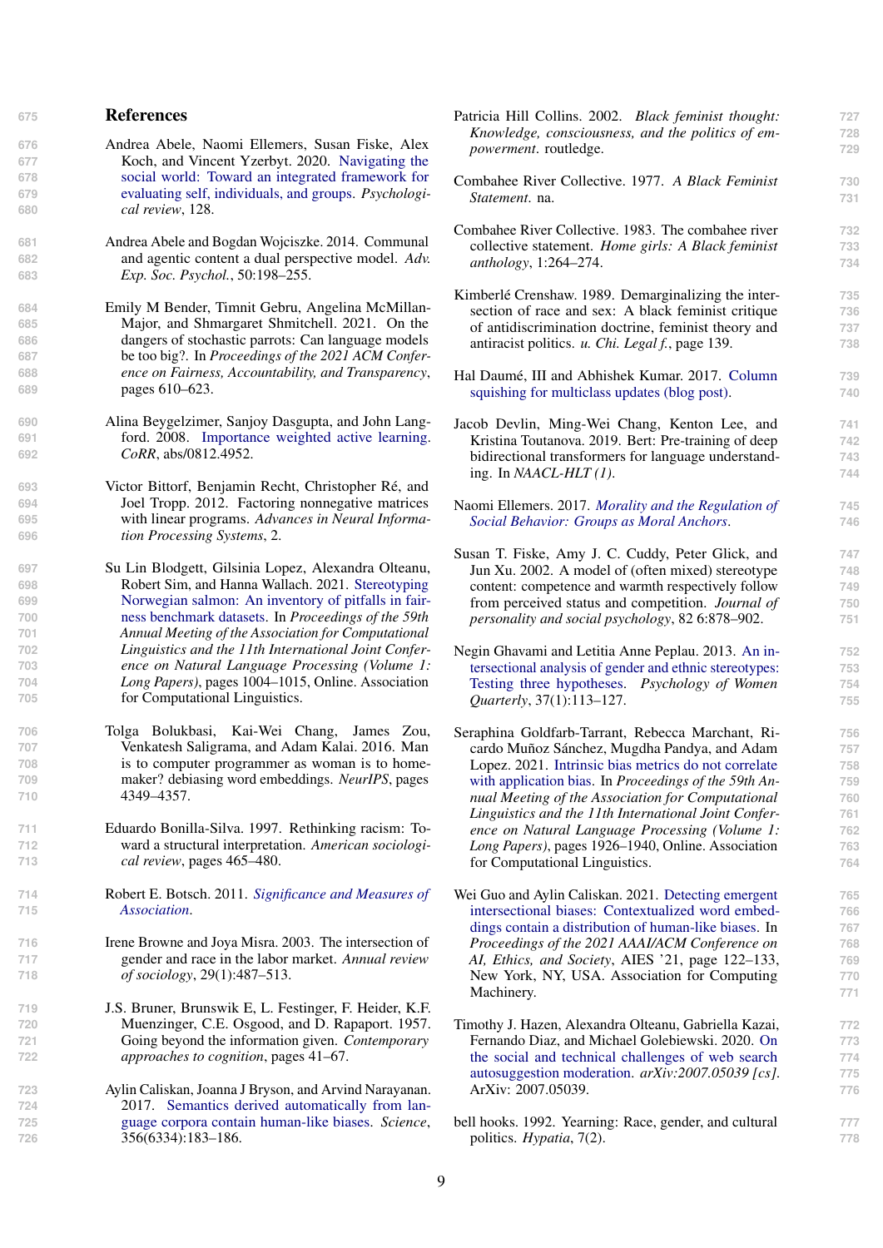## **<sup>675</sup>** References

- <span id="page-8-7"></span>**676** Andrea Abele, Naomi Ellemers, Susan Fiske, Alex **677** Koch, and Vincent Yzerbyt. 2020. [Navigating the](https://doi.org/10.1037/rev0000262) **678** [social world: Toward an integrated framework for](https://doi.org/10.1037/rev0000262) **679** [evaluating self, individuals, and groups.](https://doi.org/10.1037/rev0000262) *Psychologi-***680** *cal review*, 128.
- <span id="page-8-5"></span>**681** Andrea Abele and Bogdan Wojciszke. 2014. Communal **682** and agentic content a dual perspective model. *Adv.* **683** *Exp. Soc. Psychol.*, 50:198–255.
- <span id="page-8-2"></span>**684** Emily M Bender, Timnit Gebru, Angelina McMillan-**685** Major, and Shmargaret Shmitchell. 2021. On the **686** dangers of stochastic parrots: Can language models **687** be too big?. In *Proceedings of the 2021 ACM Confer-***688** *ence on Fairness, Accountability, and Transparency*, **689** pages 610–623.
- <span id="page-8-13"></span>**690** Alina Beygelzimer, Sanjoy Dasgupta, and John Lang-**691** ford. 2008. [Importance weighted active learning.](http://arxiv.org/abs/0812.4952) **692** *CoRR*, abs/0812.4952.
- <span id="page-8-14"></span>**693** Victor Bittorf, Benjamin Recht, Christopher Ré, and **694** Joel Tropp. 2012. Factoring nonnegative matrices **695** with linear programs. *Advances in Neural Informa-***696** *tion Processing Systems*, 2.
- <span id="page-8-11"></span><span id="page-8-4"></span><span id="page-8-1"></span>**697** Su Lin Blodgett, Gilsinia Lopez, Alexandra Olteanu, **698** Robert Sim, and Hanna Wallach. 2021. [Stereotyping](https://doi.org/10.18653/v1/2021.acl-long.81) **699** [Norwegian salmon: An inventory of pitfalls in fair-](https://doi.org/10.18653/v1/2021.acl-long.81)**700** [ness benchmark datasets.](https://doi.org/10.18653/v1/2021.acl-long.81) In *Proceedings of the 59th* **701** *Annual Meeting of the Association for Computational* **702** *Linguistics and the 11th International Joint Confer-***703** *ence on Natural Language Processing (Volume 1:* **704** *Long Papers)*, pages 1004–1015, Online. Association **705** for Computational Linguistics.
- <span id="page-8-24"></span><span id="page-8-8"></span>**706** Tolga Bolukbasi, Kai-Wei Chang, James Zou, **707** Venkatesh Saligrama, and Adam Kalai. 2016. Man **708** is to computer programmer as woman is to home-**709** maker? debiasing word embeddings. *NeurIPS*, pages **710** 4349–4357.
- <span id="page-8-22"></span>**711** Eduardo Bonilla-Silva. 1997. Rethinking racism: To-**712** ward a structural interpretation. *American sociologi-***713** *cal review*, pages 465–480.
- <span id="page-8-17"></span>**714** [R](http://polisci.usca.edu/apls301/Text/Chapter 12. Significance and Measures of Association.htm)obert E. Botsch. 2011. *[Significance and Measures of](http://polisci.usca.edu/apls301/Text/Chapter 12. Significance and Measures of Association.htm)* **715** *[Association](http://polisci.usca.edu/apls301/Text/Chapter 12. Significance and Measures of Association.htm)*.
- <span id="page-8-21"></span>**716** Irene Browne and Joya Misra. 2003. The intersection of **717** gender and race in the labor market. *Annual review* **718** *of sociology*, 29(1):487–513.
- <span id="page-8-0"></span>**719** J.S. Bruner, Brunswik E, L. Festinger, F. Heider, K.F. **720** Muenzinger, C.E. Osgood, and D. Rapaport. 1957. **721** Going beyond the information given. *Contemporary* **722** *approaches to cognition*, pages 41–67.
- <span id="page-8-9"></span>**723** Aylin Caliskan, Joanna J Bryson, and Arvind Narayanan. **724** 2017. [Semantics derived automatically from lan-](https://doi.org/10.1126/science.aal4230)**725** [guage corpora contain human-like biases.](https://doi.org/10.1126/science.aal4230) *Science*, **726** 356(6334):183–186.

<span id="page-8-20"></span><span id="page-8-19"></span><span id="page-8-18"></span><span id="page-8-15"></span><span id="page-8-12"></span><span id="page-8-6"></span><span id="page-8-3"></span>

| Patricia Hill Collins. 2002. Black feminist thought:    | 727 |
|---------------------------------------------------------|-----|
| Knowledge, consciousness, and the politics of em-       | 728 |
| powerment. routledge.                                   | 729 |
| Combahee River Collective. 1977. A Black Feminist       | 730 |
| Statement, na.                                          | 731 |
| Combahee River Collective. 1983. The combahee river     | 732 |
| collective statement. Home girls: A Black feminist      | 733 |
| anthology, 1:264-274.                                   | 734 |
| Kimberlé Crenshaw. 1989. Demarginalizing the inter-     | 735 |
| section of race and sex: A black feminist critique      | 736 |
| of antidiscrimination doctrine, feminist theory and     | 737 |
| antiracist politics. u. Chi. Legal f., page 139.        | 738 |
| Hal Daumé, III and Abhishek Kumar. 2017. Column         | 739 |
| squishing for multiclass updates (blog post).           | 740 |
| Jacob Devlin, Ming-Wei Chang, Kenton Lee, and           | 741 |
| Kristina Toutanova. 2019. Bert: Pre-training of deep    | 742 |
| bidirectional transformers for language understand-     | 743 |
| ing. In $NAACL-HLT(1)$ .                                | 744 |
| Naomi Ellemers. 2017. Morality and the Regulation of    | 745 |
| Social Behavior: Groups as Moral Anchors.               | 746 |
| Susan T. Fiske, Amy J. C. Cuddy, Peter Glick, and       | 747 |
| Jun Xu. 2002. A model of (often mixed) stereotype       | 748 |
| content: competence and warmth respectively follow      | 749 |
| from perceived status and competition. Journal of       | 750 |
| personality and social psychology, 82 6:878-902.        | 751 |
| Negin Ghavami and Letitia Anne Peplau. 2013. An in-     | 752 |
| tersectional analysis of gender and ethnic stereotypes: | 753 |
| Testing three hypotheses. Psychology of Women           | 754 |
| Quarterly, 37(1):113-127.                               | 755 |
| Seraphina Goldfarb-Tarrant, Rebecca Marchant, Ri-       | 756 |
| cardo Muñoz Sánchez, Mugdha Pandya, and Adam            | 757 |
| Lopez. 2021. Intrinsic bias metrics do not correlate    | 758 |
| with application bias. In Proceedings of the 59th An-   | 759 |
| nual Meeting of the Association for Computational       | 760 |
| Linguistics and the 11th International Joint Confer-    | 761 |
| ence on Natural Language Processing (Volume 1:          | 762 |
| Long Papers), pages 1926-1940, Online. Association      | 763 |
| for Computational Linguistics.                          | 764 |
| Wei Guo and Aylin Caliskan. 2021. Detecting emergent    | 765 |
| intersectional biases: Contextualized word embed-       | 766 |
| dings contain a distribution of human-like biases. In   | 767 |
| Proceedings of the 2021 AAAI/ACM Conference on          | 768 |
| AI, Ethics, and Society, AIES '21, page 122-133,        | 769 |
| New York, NY, USA. Association for Computing            | 770 |
| Machinery.                                              | 771 |
| Timothy J. Hazen, Alexandra Olteanu, Gabriella Kazai,   | 772 |
| Fernando Diaz, and Michael Golebiewski. 2020. On        | 773 |
| the social and technical challenges of web search       | 774 |
| autosuggestion moderation. arXiv:2007.05039 [cs].       | 775 |
| ArXiv: 2007.05039.                                      | 776 |
| bell hooks. 1992. Yearning: Race, gender, and cultural  | 777 |
| politics. Hypatia, 7(2).                                | 778 |

<span id="page-8-23"></span><span id="page-8-16"></span><span id="page-8-10"></span>9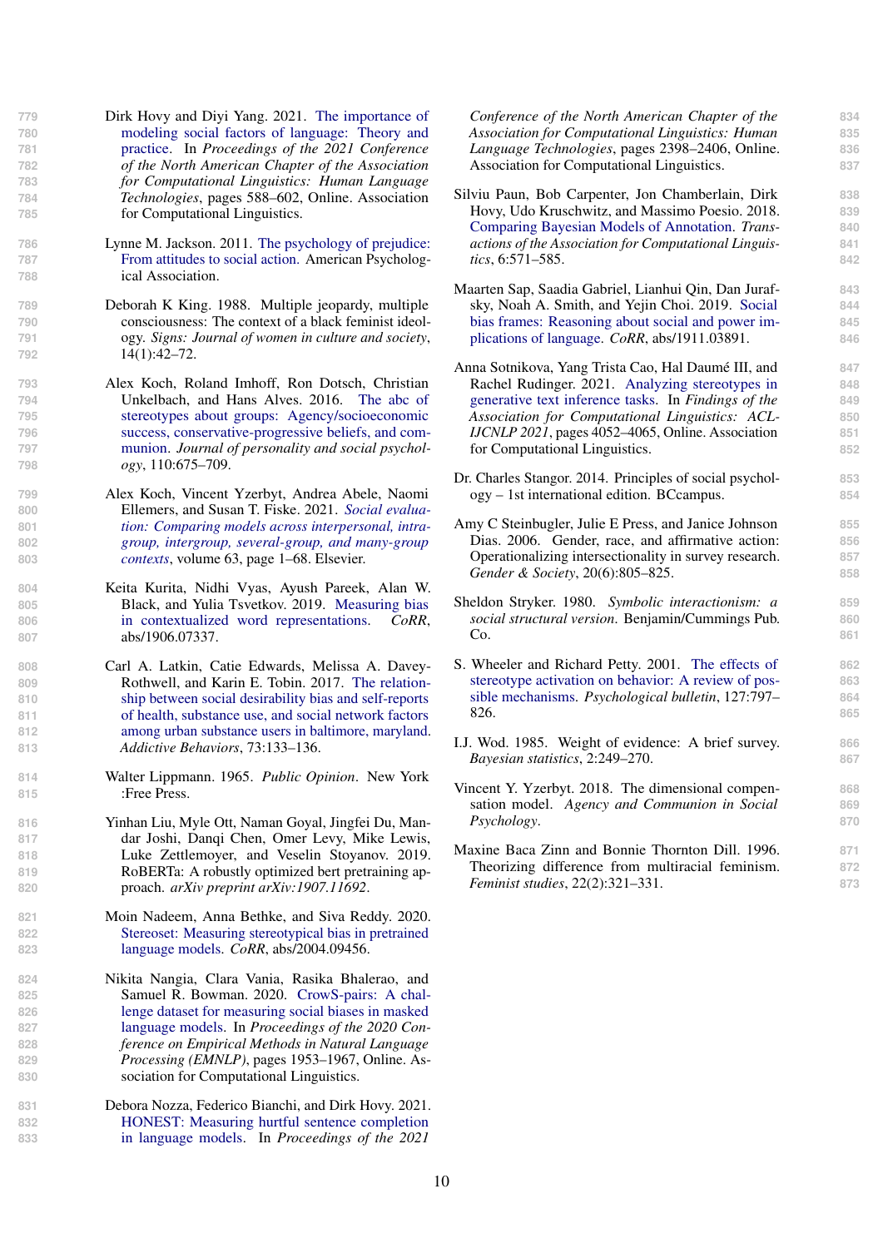- <span id="page-9-6"></span>**779** [D](https://doi.org/10.18653/v1/2021.naacl-main.49)irk Hovy and Diyi Yang. 2021. [The importance of](https://doi.org/10.18653/v1/2021.naacl-main.49) **780** [modeling social factors of language: Theory and](https://doi.org/10.18653/v1/2021.naacl-main.49) **781** [practice.](https://doi.org/10.18653/v1/2021.naacl-main.49) In *Proceedings of the 2021 Conference* **782** *of the North American Chapter of the Association* **783** *for Computational Linguistics: Human Language* **784** *Technologies*, pages 588–602, Online. Association **785** for Computational Linguistics.
- <span id="page-9-4"></span>**786** [L](https://books.google.com/books?id=Q8MkAQAAMAAJ)ynne M. Jackson. 2011. [The psychology of prejudice:](https://books.google.com/books?id=Q8MkAQAAMAAJ) **787** [From attitudes to social action.](https://books.google.com/books?id=Q8MkAQAAMAAJ) American Psycholog-**788** ical Association.
- <span id="page-9-19"></span>**789** Deborah K King. 1988. Multiple jeopardy, multiple **790** consciousness: The context of a black feminist ideol-**791** ogy. *Signs: Journal of women in culture and society*, **792** 14(1):42–72.
- <span id="page-9-0"></span>**793** Alex Koch, Roland Imhoff, Ron Dotsch, Christian **794** Unkelbach, and Hans Alves. 2016. [The abc of](https://doi.org/10.1037/pspa0000046) **795** [stereotypes about groups: Agency/socioeconomic](https://doi.org/10.1037/pspa0000046) **796** [success, conservative-progressive beliefs, and com-](https://doi.org/10.1037/pspa0000046)**797** [munion.](https://doi.org/10.1037/pspa0000046) *Journal of personality and social psychol-***798** *ogy*, 110:675–709.
- <span id="page-9-12"></span>**799** Alex Koch, Vincent Yzerbyt, Andrea Abele, Naomi **800** Ellemers, and Susan T. Fiske. 2021. *[Social evalua-](https://doi.org/10.1016/bs.aesp.2020.11.001)***801** *[tion: Comparing models across interpersonal, intra-](https://doi.org/10.1016/bs.aesp.2020.11.001)***802** *[group, intergroup, several-group, and many-group](https://doi.org/10.1016/bs.aesp.2020.11.001)* **803** *[contexts](https://doi.org/10.1016/bs.aesp.2020.11.001)*, volume 63, page 1–68. Elsevier.
- <span id="page-9-13"></span>**804** Keita Kurita, Nidhi Vyas, Ayush Pareek, Alan W. **805** Black, and Yulia Tsvetkov. 2019. [Measuring bias](http://arxiv.org/abs/1906.07337) **806** [in contextualized word representations.](http://arxiv.org/abs/1906.07337) *CoRR*, **807** abs/1906.07337.
- <span id="page-9-21"></span>**808** Carl A. Latkin, Catie Edwards, Melissa A. Davey-**809** Rothwell, and Karin E. Tobin. 2017. [The relation-](https://doi.org/10.1016/j.addbeh.2017.05.005)**810** [ship between social desirability bias and self-reports](https://doi.org/10.1016/j.addbeh.2017.05.005) **811** [of health, substance use, and social network factors](https://doi.org/10.1016/j.addbeh.2017.05.005) **812** [among urban substance users in baltimore, maryland.](https://doi.org/10.1016/j.addbeh.2017.05.005) **813** *Addictive Behaviors*, 73:133–136.
- <span id="page-9-1"></span>**814** Walter Lippmann. 1965. *Public Opinion*. New York **815** :Free Press.
- <span id="page-9-7"></span>**816** Yinhan Liu, Myle Ott, Naman Goyal, Jingfei Du, Man-**817** dar Joshi, Danqi Chen, Omer Levy, Mike Lewis, **818** Luke Zettlemoyer, and Veselin Stoyanov. 2019. **819** RoBERTa: A robustly optimized bert pretraining ap-**820** proach. *arXiv preprint arXiv:1907.11692*.
- <span id="page-9-10"></span>**821** Moin Nadeem, Anna Bethke, and Siva Reddy. 2020. **822** [Stereoset: Measuring stereotypical bias in pretrained](http://arxiv.org/abs/2004.09456) **823** [language models.](http://arxiv.org/abs/2004.09456) *CoRR*, abs/2004.09456.
- <span id="page-9-9"></span>**824** Nikita Nangia, Clara Vania, Rasika Bhalerao, and 825 **Samuel R. Bowman. 2020. CrowS-pairs: A chal-**<br>826 **Samuel R. Bowman. 2020. [CrowS-pairs: A chal-](https://doi.org/10.18653/v1/2020.emnlp-main.154)826** [lenge dataset for measuring social biases in masked](https://doi.org/10.18653/v1/2020.emnlp-main.154) **827** [language models.](https://doi.org/10.18653/v1/2020.emnlp-main.154) In *Proceedings of the 2020 Con-***828** *ference on Empirical Methods in Natural Language* **829** *Processing (EMNLP)*, pages 1953–1967, Online. As-**830** sociation for Computational Linguistics.
- <span id="page-9-5"></span>**831** Debora Nozza, Federico Bianchi, and Dirk Hovy. 2021. **832** [HONEST: Measuring hurtful sentence completion](https://doi.org/10.18653/v1/2021.naacl-main.191) **833** [in language models.](https://doi.org/10.18653/v1/2021.naacl-main.191) In *Proceedings of the 2021*

*Conference of the North American Chapter of the* **834** *Association for Computational Linguistics: Human* **835** *Language Technologies*, pages 2398–2406, Online. **836** Association for Computational Linguistics. **837**

- <span id="page-9-16"></span>Silviu Paun, Bob Carpenter, Jon Chamberlain, Dirk **838** Hovy, Udo Kruschwitz, and Massimo Poesio. 2018. **839** [Comparing Bayesian Models of Annotation.](https://doi.org/10.1162/tacl_a_00040) *Trans-* **840** *actions of the Association for Computational Linguis-* **841** *tics*, 6:571–585. **842**
- <span id="page-9-11"></span>Maarten Sap, Saadia Gabriel, Lianhui Qin, Dan Juraf- **843** sky, Noah A. Smith, and Yejin Choi. 2019. [Social](http://arxiv.org/abs/1911.03891) **844** [bias frames: Reasoning about social and power im-](http://arxiv.org/abs/1911.03891) **845** [plications of language.](http://arxiv.org/abs/1911.03891) *CoRR*, abs/1911.03891. **846**
- <span id="page-9-15"></span>Anna Sotnikova, Yang Trista Cao, Hal Daumé III, and **847** Rachel Rudinger. 2021. [Analyzing stereotypes in](https://doi.org/10.18653/v1/2021.findings-acl.355) 848<br> **848 Senerative text inference tasks. In Findings of the** 849 [generative text inference tasks.](https://doi.org/10.18653/v1/2021.findings-acl.355) In *Findings of the Association for Computational Linguistics: ACL-* **850** *IJCNLP 2021*, pages 4052–4065, Online. Association **851** for Computational Linguistics. **852**
- <span id="page-9-3"></span>Dr. Charles Stangor. 2014. Principles of social psychol- **853** ogy – 1st international edition. BCcampus. **854**
- <span id="page-9-17"></span>Amy C Steinbugler, Julie E Press, and Janice Johnson **855** Dias. 2006. Gender, race, and affirmative action: **856** Operationalizing intersectionality in survey research. **857** *Gender & Society*, 20(6):805–825. **858**
- <span id="page-9-20"></span>Sheldon Stryker. 1980. *Symbolic interactionism: a* **859** *social structural version*. Benjamin/Cummings Pub. **860 Co.** 861
- <span id="page-9-2"></span>[S](https://doi.org/10.1037/0033-2909.127.6.797). Wheeler and Richard Petty. 2001. [The effects of](https://doi.org/10.1037/0033-2909.127.6.797) **862** [stereotype activation on behavior: A review of pos-](https://doi.org/10.1037/0033-2909.127.6.797) **863** [sible mechanisms.](https://doi.org/10.1037/0033-2909.127.6.797) *Psychological bulletin*, 127:797– **864** 826. **865**
- <span id="page-9-14"></span>I.J. Wod. 1985. Weight of evidence: A brief survey. **866** *Bayesian statistics*, 2:249–270. **867**
- <span id="page-9-8"></span>Vincent Y. Yzerbyt. 2018. The dimensional compen- **868** sation model. *Agency and Communion in Social* **869** *Psychology*. **870**
- <span id="page-9-18"></span>Maxine Baca Zinn and Bonnie Thornton Dill. 1996. **871** Theorizing difference from multiracial feminism. **872** *Feminist studies*, 22(2):321–331. **873**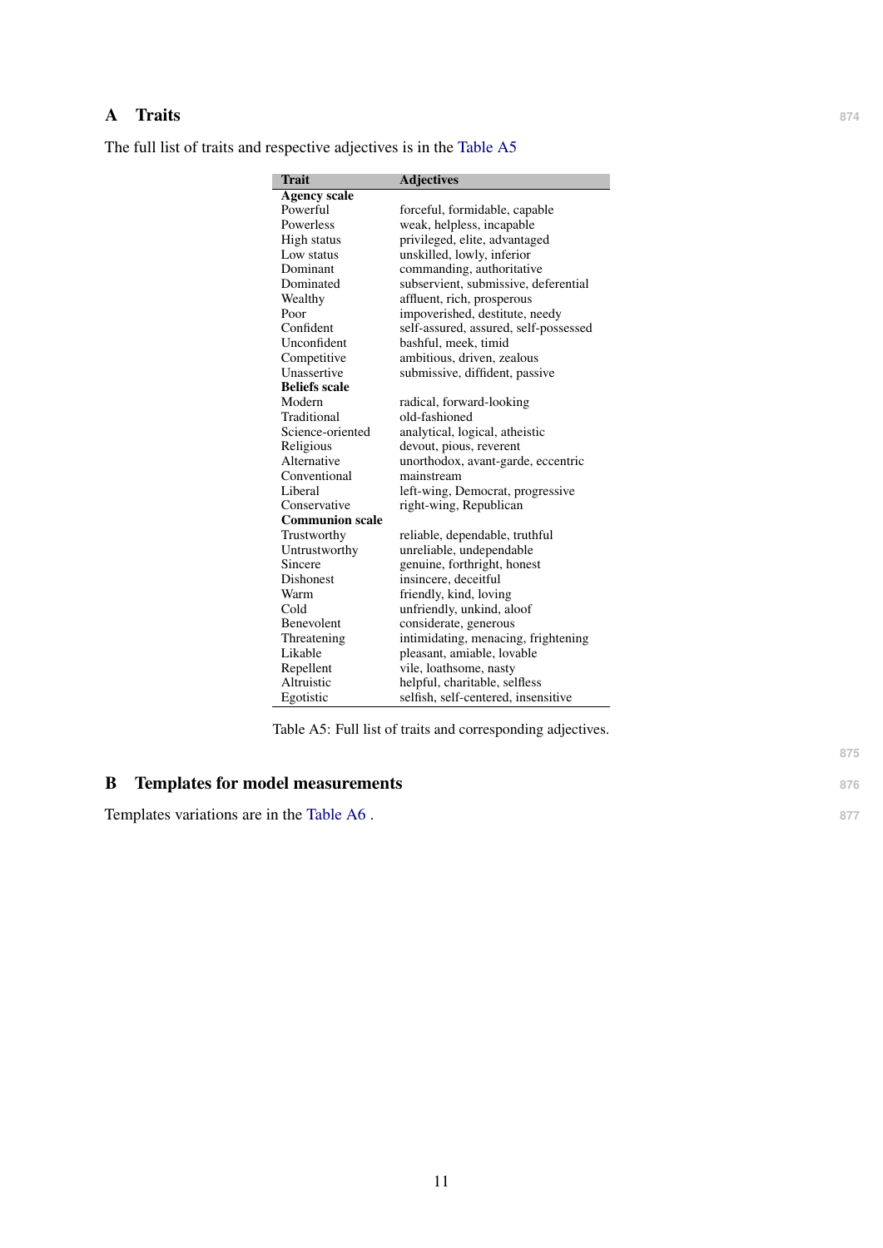## A Traits **<sup>874</sup>**

<span id="page-10-0"></span>The full list of traits and respective adjectives is in the [Table A5](#page-10-0)

| Trait                  | <b>Adjectives</b>                     |
|------------------------|---------------------------------------|
| <b>Agency scale</b>    |                                       |
| Powerful               | forceful, formidable, capable         |
| Powerless              | weak, helpless, incapable             |
| <b>High status</b>     | privileged, elite, advantaged         |
| Low status             | unskilled, lowly, inferior            |
| Dominant               | commanding, authoritative             |
| Dominated              | subservient, submissive, deferential  |
| Wealthy                | affluent, rich, prosperous            |
| Poor                   | impoverished, destitute, needy        |
| Confident              | self-assured, assured, self-possessed |
| Unconfident            | bashful, meek, timid                  |
| Competitive            | ambitious, driven, zealous            |
| Unassertive            | submissive, diffident, passive        |
| <b>Beliefs scale</b>   |                                       |
| Modern                 | radical, forward-looking              |
| Traditional            | old-fashioned                         |
| Science-oriented       | analytical, logical, atheistic        |
| Religious              | devout, pious, reverent               |
| Alternative            | unorthodox, avant-garde, eccentric    |
| Conventional           | mainstream                            |
| Liberal                | left-wing, Democrat, progressive      |
| Conservative           | right-wing, Republican                |
| <b>Communion scale</b> |                                       |
| Trustworthy            | reliable, dependable, truthful        |
| Untrustworthy          | unreliable, undependable              |
| Sincere                | genuine, forthright, honest           |
| <b>Dishonest</b>       | insincere, deceitful                  |
| Warm                   | friendly, kind, loving                |
| Cold                   | unfriendly, unkind, aloof             |
| Benevolent             | considerate, generous                 |
| Threatening            | intimidating, menacing, frightening   |
| Likable                | pleasant, amiable, lovable            |
| Repellent              | vile, loathsome, nasty                |
| Altruistic             | helpful, charitable, selfless         |
| Egotistic              | selfish, self-centered, insensitive   |

Table A5: Full list of traits and corresponding adjectives.

# B Templates for model measurements **876**

Templates variations are in the [Table A6](#page-11-0).

**875**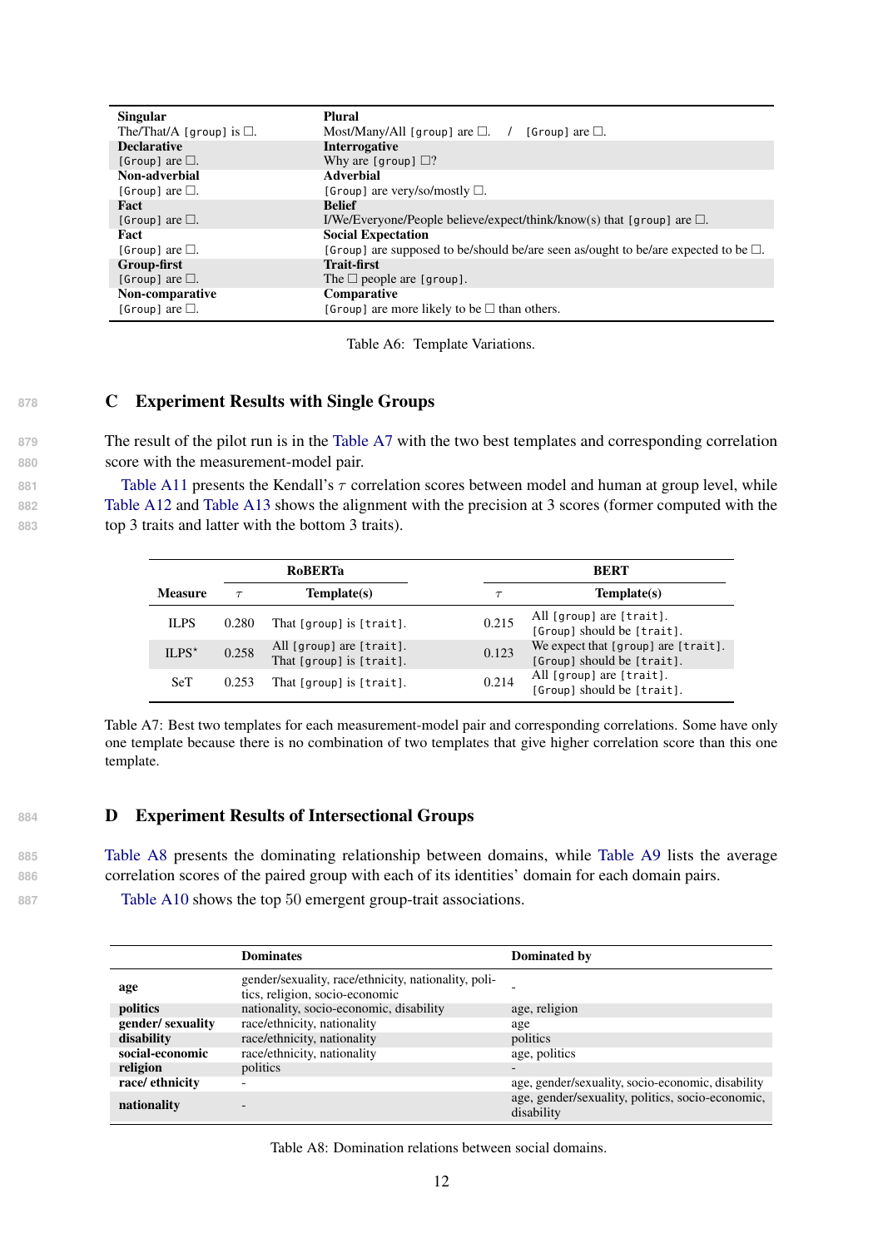<span id="page-11-0"></span>

| <b>Singular</b>                   | Plural                                                                                   |
|-----------------------------------|------------------------------------------------------------------------------------------|
| The/That/A [group] is $\square$ . | Most/Many/All [group] are $\Box$ . /<br>[Group] are $\Box$ .                             |
| <b>Declarative</b>                | Interrogative                                                                            |
| [Group] are $\Box$ .              | Why are [group] $\Box$ ?                                                                 |
| Non-adverbial                     | <b>Adverbial</b>                                                                         |
| [Group] are $\Box$ .              | [Group] are very/so/mostly $\Box$ .                                                      |
| Fact                              | <b>Belief</b>                                                                            |
| [Group] are $\Box$ .              | I/We/Everyone/People believe/expect/think/know(s) that [group] are $\Box$ .              |
| Fact                              | <b>Social Expectation</b>                                                                |
| [Group] are $\Box$ .              | [Group] are supposed to be/should be/are seen as/ought to be/are expected to be $\Box$ . |
| Group-first                       | <b>Trait-first</b>                                                                       |
| [Group] are $\Box$ .              | The $\Box$ people are [group].                                                           |
| Non-comparative                   | Comparative                                                                              |
| [Group] are $\Box$ .              | [Group] are more likely to be $\square$ than others.                                     |

Table A6: Template Variations.

## <span id="page-11-2"></span>878 **C** Experiment Results with Single Groups

**879** The result of the pilot run is in the [Table A7](#page-11-1) with the two best templates and corresponding correlation **880** score with the measurement-model pair.

881 [Table A11](#page-15-0) presents the Kendall's  $\tau$  correlation scores between model and human at group level, while **882** [Table A12](#page-15-1) and [Table A13](#page-16-0) shows the alignment with the precision at 3 scores (former computed with the **883** top 3 traits and latter with the bottom 3 traits).

<span id="page-11-1"></span>

| RoBERTa<br>Template(s)<br><b>Measure</b> |       |                                                      |        | <b>BERT</b>                                                       |
|------------------------------------------|-------|------------------------------------------------------|--------|-------------------------------------------------------------------|
|                                          |       |                                                      | $\tau$ | Template(s)                                                       |
| <b>ILPS</b>                              | 0.280 | That [group] is [trait].                             | 0.215  | All [group] are [trait].<br>[Group] should be [trait].            |
| $ILPS^*$                                 | 0.258 | All [group] are [trait].<br>That [group] is [trait]. | 0.123  | We expect that [group] are [trait].<br>[Group] should be [trait]. |
| <b>SeT</b>                               | 0.253 | That [group] is [trait].                             | 0.214  | All [group] are [trait].<br>[Group] should be [trait].            |

Table A7: Best two templates for each measurement-model pair and corresponding correlations. Some have only one template because there is no combination of two templates that give higher correlation score than this one template.

## 884 **D** Experiment Results of Intersectional Groups

**885** [Table A8](#page-11-3) presents the dominating relationship between domains, while [Table A9](#page-12-1) lists the average **886** correlation scores of the paired group with each of its identities' domain for each domain pairs.

**887** [Table A10](#page-14-0) shows the top 50 emergent group-trait associations.

<span id="page-11-3"></span>

|                  | <b>Dominates</b>                                                                       | Dominated by                                                   |
|------------------|----------------------------------------------------------------------------------------|----------------------------------------------------------------|
| age              | gender/sexuality, race/ethnicity, nationality, poli-<br>tics, religion, socio-economic |                                                                |
| politics         | nationality, socio-economic, disability                                                | age, religion                                                  |
| gender/sexuality | race/ethnicity, nationality                                                            | age                                                            |
| disability       | race/ethnicity, nationality                                                            | politics                                                       |
| social-economic  | race/ethnicity, nationality                                                            | age, politics                                                  |
| religion         | politics                                                                               | $\overline{\phantom{0}}$                                       |
| race/ethnicity   |                                                                                        | age, gender/sexuality, socio-economic, disability              |
| nationality      |                                                                                        | age, gender/sexuality, politics, socio-economic,<br>disability |

Table A8: Domination relations between social domains.

12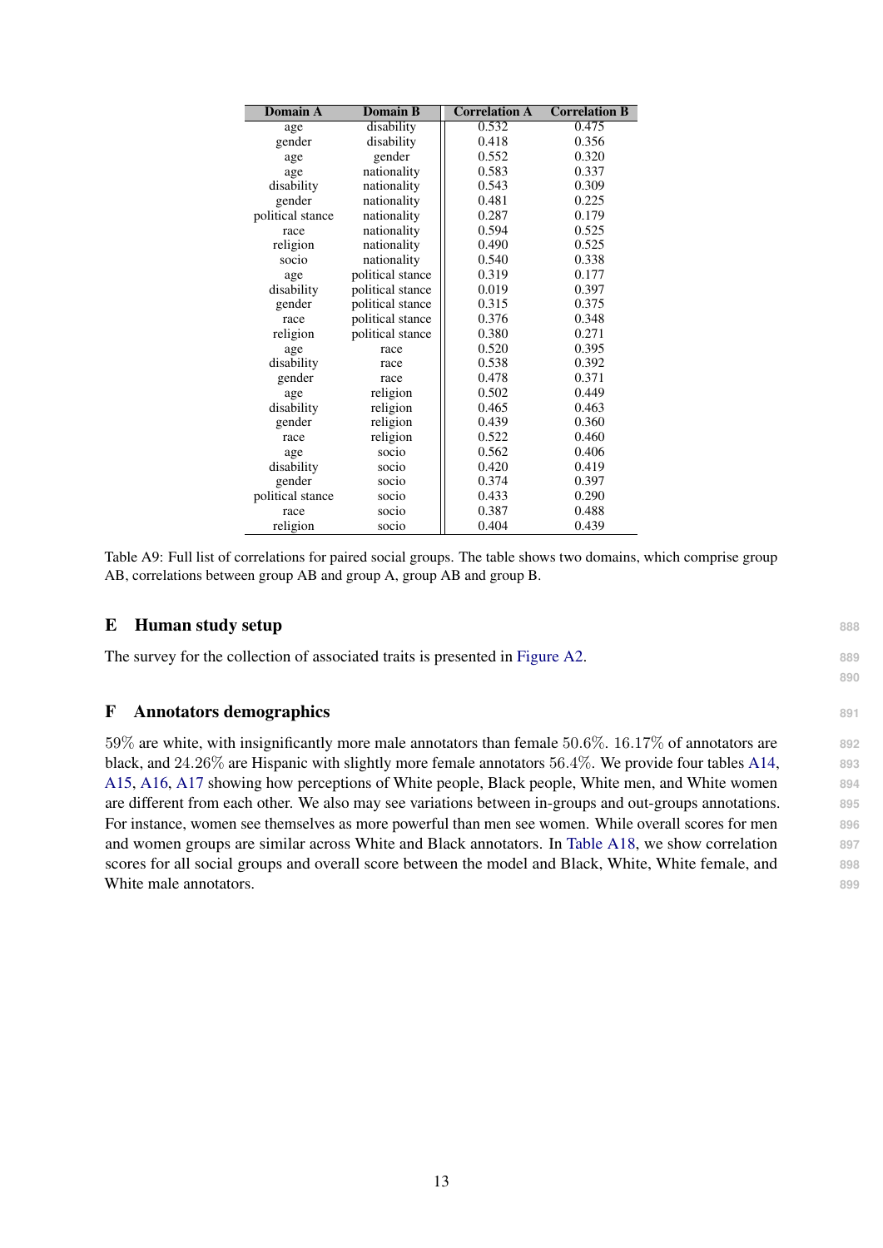<span id="page-12-1"></span>

| <b>Domain A</b>  | <b>Domain B</b>  | <b>Correlation A</b> | <b>Correlation B</b> |
|------------------|------------------|----------------------|----------------------|
| age              | disability       | 0.532                | 0.475                |
| gender           | disability       | 0.418                | 0.356                |
| age              | gender           | 0.552                | 0.320                |
| age              | nationality      | 0.583                | 0.337                |
| disability       | nationality      | 0.543                | 0.309                |
| gender           | nationality      | 0.481                | 0.225                |
| political stance | nationality      | 0.287                | 0.179                |
| race             | nationality      | 0.594                | 0.525                |
| religion         | nationality      | 0.490                | 0.525                |
| socio            | nationality      | 0.540                | 0.338                |
| age              | political stance | 0.319                | 0.177                |
| disability       | political stance | 0.019                | 0.397                |
| gender           | political stance | 0.315                | 0.375                |
| race             | political stance | 0.376                | 0.348                |
| religion         | political stance | 0.380                | 0.271                |
| age              | race             | 0.520                | 0.395                |
| disability       | race             | 0.538                | 0.392                |
| gender           | race             | 0.478                | 0.371                |
| age              | religion         | 0.502                | 0.449                |
| disability       | religion         | 0.465                | 0.463                |
| gender           | religion         | 0.439                | 0.360                |
| race             | religion         | 0.522                | 0.460                |
| age              | socio            | 0.562                | 0.406                |
| disability       | socio            | 0.420                | 0.419                |
| gender           | socio            | 0.374                | 0.397                |
| political stance | socio            | 0.433                | 0.290                |
| race             | socio            | 0.387                | 0.488                |
| religion         | socio            | 0.404                | 0.439                |

Table A9: Full list of correlations for paired social groups. The table shows two domains, which comprise group

AB, correlations between group AB and group A, group AB and group B.

**890**

| The survey for the collection of associated traits is presented in Figure A2. | 889 |
|-------------------------------------------------------------------------------|-----|

## <span id="page-12-0"></span>F Annotators demographics **<sup>891</sup>**

59% are white, with insignificantly more male annotators than female 50.6%. 16.17% of annotators are **892** black, and 24.26% are Hispanic with slightly more female annotators 56.4%. We provide four tables [A14,](#page-16-1) **893** [A15,](#page-17-0) [A16,](#page-17-1) [A17](#page-17-2) showing how perceptions of White people, Black people, White men, and White women **894** are different from each other. We also may see variations between in-groups and out-groups annotations. **895** For instance, women see themselves as more powerful than men see women. While overall scores for men **896** and women groups are similar across White and Black annotators. In [Table A18,](#page-18-1) we show correlation **897** scores for all social groups and overall score between the model and Black, White, White female, and **898** White male annotators. **899**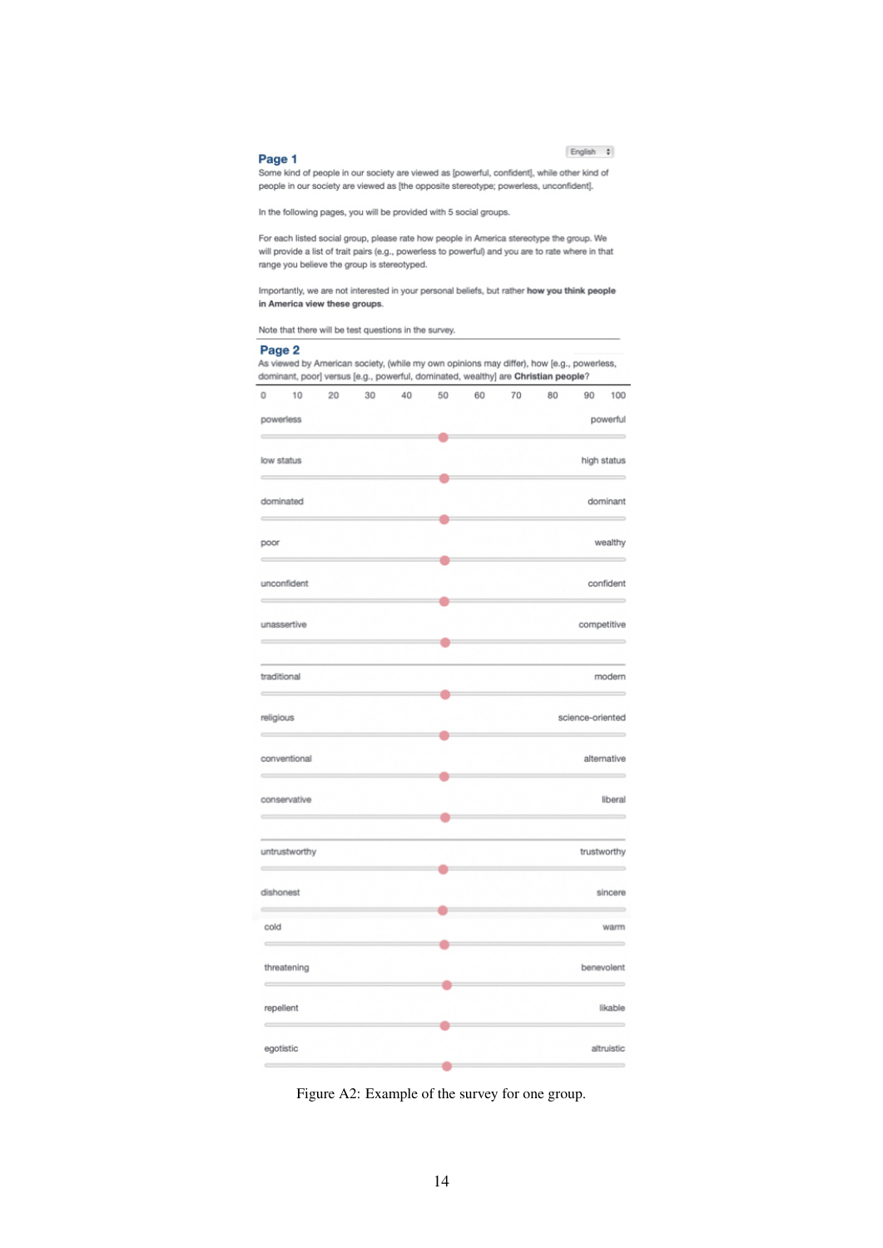#### English #

#### <span id="page-13-0"></span>Page 1

Page 2

Some kind of people in our society are viewed as [powerful, confident], while other kind of people in our society are viewed as [the opposite stereotype; powerless, unconfident].

In the following pages, you will be provided with 5 social groups.

For each listed social group, please rate how people in America stereotype the group. We will provide a list of trait pairs (e.g., powerless to powerful) and you are to rate where in that range you believe the group is stereotyped.

Importantly, we are not interested in your personal beliefs, but rather how you think people in America view these groups.

Note that there will be test questions in the survey.

|           |               |    |    | dominant, poor] versus [e.g., powerful, dominated, wealthy] are Christian people? |    |    |    |    |                  |             |
|-----------|---------------|----|----|-----------------------------------------------------------------------------------|----|----|----|----|------------------|-------------|
| 0         | 10            | 20 | 30 | 40                                                                                | 50 | 60 | 70 | 80 | 90               | 100         |
|           | powerless     |    |    |                                                                                   |    |    |    |    |                  | powerful    |
|           | low status    |    |    |                                                                                   |    |    |    |    | high status      |             |
|           |               |    |    |                                                                                   |    |    |    |    |                  |             |
|           | dominated     |    |    |                                                                                   |    |    |    |    |                  | dominant    |
| poor      |               |    |    |                                                                                   |    |    |    |    |                  | wealthy     |
|           | unconfident   |    |    |                                                                                   |    |    |    |    |                  | confident   |
|           | unassertive   |    |    |                                                                                   |    |    |    |    | competitive      |             |
|           | traditional   |    |    |                                                                                   |    |    |    |    |                  | modern      |
| religious |               |    |    |                                                                                   |    |    |    |    | science-oriented |             |
|           | conventional  |    |    |                                                                                   |    |    |    |    |                  | alternative |
|           | conservative  |    |    |                                                                                   | O  |    |    |    |                  | liberal     |
|           | untrustworthy |    |    |                                                                                   |    |    |    |    | trustworthy      |             |
|           | dishonest     |    |    |                                                                                   |    |    |    |    |                  | sincere     |
| cold      |               |    |    |                                                                                   |    |    |    |    |                  | warm        |
|           | threatening   |    |    |                                                                                   |    |    |    |    | benevolent       |             |
|           | repellent     |    |    |                                                                                   |    |    |    |    |                  | likable     |
|           | egotistic     |    |    |                                                                                   |    |    |    |    |                  | altruistic  |
|           |               |    |    |                                                                                   |    |    |    |    |                  |             |

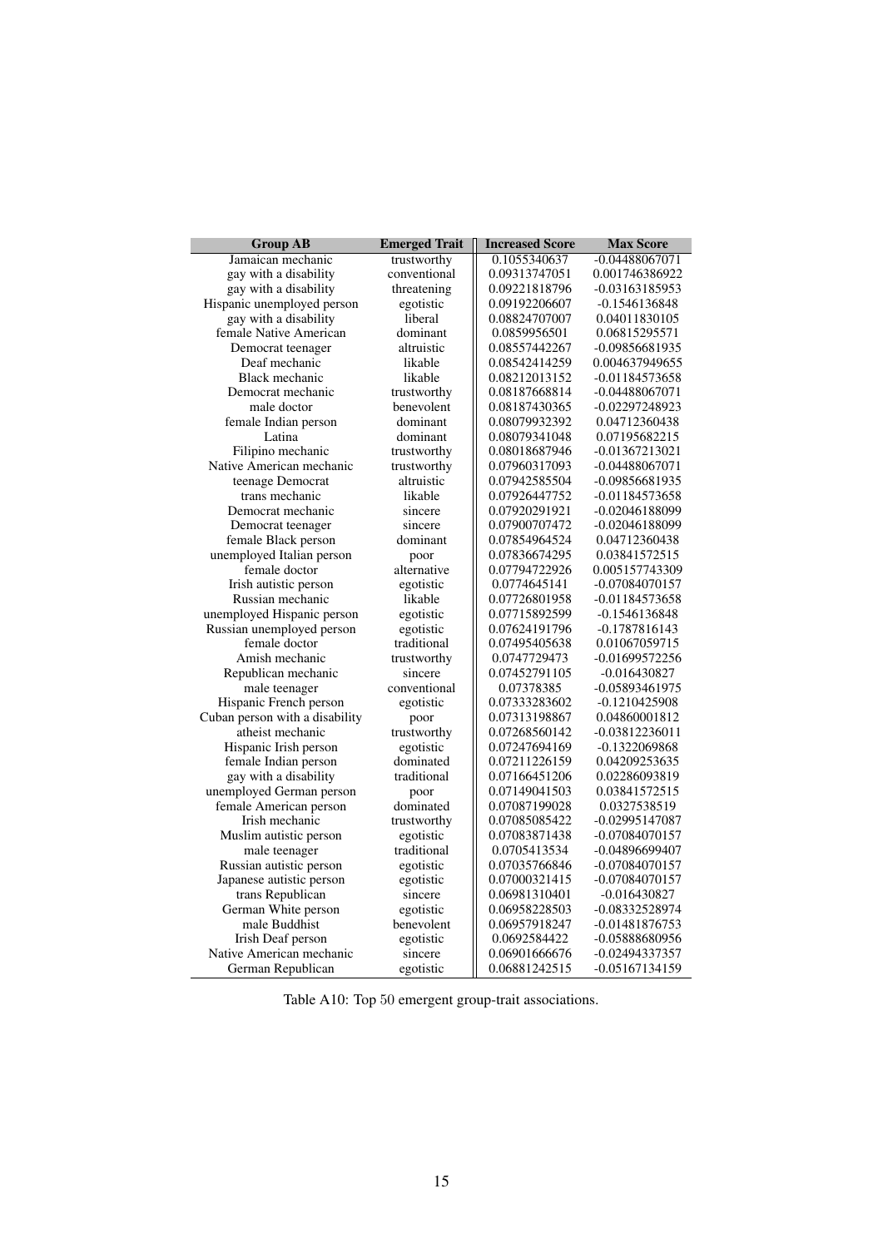<span id="page-14-0"></span>

| <b>Group AB</b>                | <b>Emerged Trait</b> | <b>Increased Score</b> | <b>Max Score</b> |
|--------------------------------|----------------------|------------------------|------------------|
| Jamaican mechanic              | trustworthy          | 0.1055340637           | $-0.04488067071$ |
| gay with a disability          | conventional         | 0.09313747051          | 0.001746386922   |
| gay with a disability          | threatening          | 0.09221818796          | -0.03163185953   |
| Hispanic unemployed person     | egotistic            | 0.09192206607          | -0.1546136848    |
| gay with a disability          | liberal              | 0.08824707007          | 0.04011830105    |
| female Native American         | dominant             | 0.0859956501           | 0.06815295571    |
| Democrat teenager              | altruistic           | 0.08557442267          | -0.09856681935   |
| Deaf mechanic                  | likable              | 0.08542414259          | 0.004637949655   |
| Black mechanic                 | likable              | 0.08212013152          | -0.01184573658   |
| Democrat mechanic              | trustworthy          | 0.08187668814          | $-0.04488067071$ |
| male doctor                    | benevolent           | 0.08187430365          | -0.02297248923   |
| female Indian person           | dominant             | 0.08079932392          | 0.04712360438    |
| Latina                         | dominant             | 0.08079341048          | 0.07195682215    |
| Filipino mechanic              | trustworthy          | 0.08018687946          | $-0.01367213021$ |
| Native American mechanic       | trustworthy          | 0.07960317093          | $-0.04488067071$ |
| teenage Democrat               | altruistic           | 0.07942585504          | -0.09856681935   |
| trans mechanic                 | likable              | 0.07926447752          | $-0.01184573658$ |
| Democrat mechanic              | sincere              | 0.07920291921          | -0.02046188099   |
| Democrat teenager              | sincere              | 0.07900707472          | -0.02046188099   |
| female Black person            | dominant             | 0.07854964524          | 0.04712360438    |
| unemployed Italian person      | poor                 | 0.07836674295          | 0.03841572515    |
| female doctor                  | alternative          | 0.07794722926          | 0.005157743309   |
| Irish autistic person          | egotistic            | 0.0774645141           | $-0.07084070157$ |
| Russian mechanic               | likable              | 0.07726801958          | -0.01184573658   |
| unemployed Hispanic person     | egotistic            | 0.07715892599          | -0.1546136848    |
| Russian unemployed person      | egotistic            | 0.07624191796          | $-0.1787816143$  |
| female doctor                  | traditional          | 0.07495405638          | 0.01067059715    |
| Amish mechanic                 | trustworthy          | 0.0747729473           | $-0.01699572256$ |
| Republican mechanic            | sincere              | 0.07452791105          | $-0.016430827$   |
| male teenager                  | conventional         | 0.07378385             | -0.05893461975   |
| Hispanic French person         | egotistic            | 0.07333283602          | $-0.1210425908$  |
| Cuban person with a disability | poor                 | 0.07313198867          | 0.04860001812    |
| atheist mechanic               | trustworthy          | 0.07268560142          | $-0.03812236011$ |
| Hispanic Irish person          | egotistic            | 0.07247694169          | -0.1322069868    |
| female Indian person           | dominated            | 0.07211226159          | 0.04209253635    |
| gay with a disability          | traditional          | 0.07166451206          | 0.02286093819    |
| unemployed German person       | poor                 | 0.07149041503          | 0.03841572515    |
| female American person         | dominated            | 0.07087199028          | 0.0327538519     |
| Irish mechanic                 | trustworthy          | 0.07085085422          | -0.02995147087   |
| Muslim autistic person         | egotistic            | 0.07083871438          | -0.07084070157   |
| male teenager                  | traditional          | 0.0705413534           | -0.04896699407   |
| Russian autistic person        | egotistic            | 0.07035766846          | -0.07084070157   |
| Japanese autistic person       | egotistic            | 0.07000321415          | -0.07084070157   |
| trans Republican               | sincere              | 0.06981310401          | $-0.016430827$   |
| German White person            | egotistic            | 0.06958228503          | -0.08332528974   |
| male Buddhist                  | benevolent           | 0.06957918247          | -0.01481876753   |
| Irish Deaf person              | egotistic            | 0.0692584422           | -0.05888680956   |
| Native American mechanic       | sincere              | 0.06901666676          | -0.02494337357   |
| German Republican              | egotistic            | 0.06881242515          | -0.05167134159   |

Table A10: Top 50 emergent group-trait associations.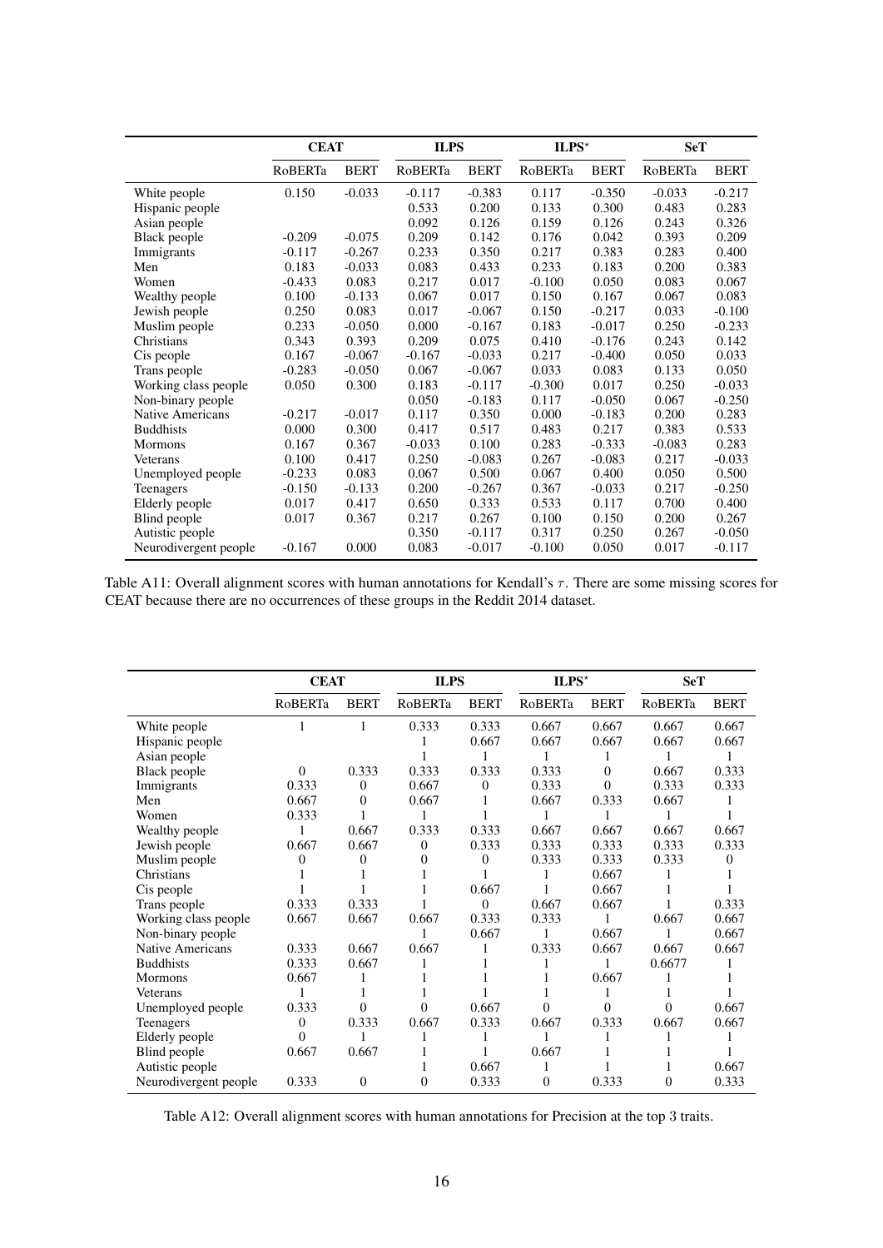<span id="page-15-0"></span>

|                         | <b>CEAT</b> |             | <b>ILPS</b> |             | $ILPS^{\star}$ |             | <b>SeT</b> |             |
|-------------------------|-------------|-------------|-------------|-------------|----------------|-------------|------------|-------------|
|                         | RoBERTa     | <b>BERT</b> | RoBERTa     | <b>BERT</b> | RoBERTa        | <b>BERT</b> | RoBERTa    | <b>BERT</b> |
| White people            | 0.150       | $-0.033$    | $-0.117$    | $-0.383$    | 0.117          | $-0.350$    | $-0.033$   | $-0.217$    |
| Hispanic people         |             |             | 0.533       | 0.200       | 0.133          | 0.300       | 0.483      | 0.283       |
| Asian people            |             |             | 0.092       | 0.126       | 0.159          | 0.126       | 0.243      | 0.326       |
| Black people            | $-0.209$    | $-0.075$    | 0.209       | 0.142       | 0.176          | 0.042       | 0.393      | 0.209       |
| Immigrants              | $-0.117$    | $-0.267$    | 0.233       | 0.350       | 0.217          | 0.383       | 0.283      | 0.400       |
| Men                     | 0.183       | $-0.033$    | 0.083       | 0.433       | 0.233          | 0.183       | 0.200      | 0.383       |
| Women                   | $-0.433$    | 0.083       | 0.217       | 0.017       | $-0.100$       | 0.050       | 0.083      | 0.067       |
| Wealthy people          | 0.100       | $-0.133$    | 0.067       | 0.017       | 0.150          | 0.167       | 0.067      | 0.083       |
| Jewish people           | 0.250       | 0.083       | 0.017       | $-0.067$    | 0.150          | $-0.217$    | 0.033      | $-0.100$    |
| Muslim people           | 0.233       | $-0.050$    | 0.000       | $-0.167$    | 0.183          | $-0.017$    | 0.250      | $-0.233$    |
| Christians              | 0.343       | 0.393       | 0.209       | 0.075       | 0.410          | $-0.176$    | 0.243      | 0.142       |
| Cis people              | 0.167       | $-0.067$    | $-0.167$    | $-0.033$    | 0.217          | $-0.400$    | 0.050      | 0.033       |
| Trans people            | $-0.283$    | $-0.050$    | 0.067       | $-0.067$    | 0.033          | 0.083       | 0.133      | 0.050       |
| Working class people    | 0.050       | 0.300       | 0.183       | $-0.117$    | $-0.300$       | 0.017       | 0.250      | $-0.033$    |
| Non-binary people       |             |             | 0.050       | $-0.183$    | 0.117          | $-0.050$    | 0.067      | $-0.250$    |
| <b>Native Americans</b> | $-0.217$    | $-0.017$    | 0.117       | 0.350       | 0.000          | $-0.183$    | 0.200      | 0.283       |
| <b>Buddhists</b>        | 0.000       | 0.300       | 0.417       | 0.517       | 0.483          | 0.217       | 0.383      | 0.533       |
| <b>Mormons</b>          | 0.167       | 0.367       | $-0.033$    | 0.100       | 0.283          | $-0.333$    | $-0.083$   | 0.283       |
| Veterans                | 0.100       | 0.417       | 0.250       | $-0.083$    | 0.267          | $-0.083$    | 0.217      | $-0.033$    |
| Unemployed people       | $-0.233$    | 0.083       | 0.067       | 0.500       | 0.067          | 0.400       | 0.050      | 0.500       |
| Teenagers               | $-0.150$    | $-0.133$    | 0.200       | $-0.267$    | 0.367          | $-0.033$    | 0.217      | $-0.250$    |
| Elderly people          | 0.017       | 0.417       | 0.650       | 0.333       | 0.533          | 0.117       | 0.700      | 0.400       |
| Blind people            | 0.017       | 0.367       | 0.217       | 0.267       | 0.100          | 0.150       | 0.200      | 0.267       |
| Autistic people         |             |             | 0.350       | $-0.117$    | 0.317          | 0.250       | 0.267      | $-0.050$    |
| Neurodivergent people   | $-0.167$    | 0.000       | 0.083       | $-0.017$    | $-0.100$       | 0.050       | 0.017      | $-0.117$    |

| Table A11: Overall alignment scores with human annotations for Kendall's $\tau$ . There are some missing scores for |  |
|---------------------------------------------------------------------------------------------------------------------|--|
| CEAT because there are no occurrences of these groups in the Reddit 2014 dataset.                                   |  |

<span id="page-15-1"></span>

|                       | <b>CEAT</b>    |              | <b>ILPS</b>    |             | ILPS*          |             | <b>SeT</b> |             |
|-----------------------|----------------|--------------|----------------|-------------|----------------|-------------|------------|-------------|
|                       | <b>RoBERTa</b> | <b>BERT</b>  | <b>RoBERTa</b> | <b>BERT</b> | <b>RoBERTa</b> | <b>BERT</b> | RoBERTa    | <b>BERT</b> |
| White people          |                | 1            | 0.333          | 0.333       | 0.667          | 0.667       | 0.667      | 0.667       |
| Hispanic people       |                |              |                | 0.667       | 0.667          | 0.667       | 0.667      | 0.667       |
| Asian people          |                |              |                |             |                |             |            |             |
| Black people          | $\Omega$       | 0.333        | 0.333          | 0.333       | 0.333          | $\Omega$    | 0.667      | 0.333       |
| Immigrants            | 0.333          | $\Omega$     | 0.667          | $\Omega$    | 0.333          | 0           | 0.333      | 0.333       |
| Men                   | 0.667          | $\theta$     | 0.667          |             | 0.667          | 0.333       | 0.667      |             |
| Women                 | 0.333          |              |                |             |                |             |            |             |
| Wealthy people        |                | 0.667        | 0.333          | 0.333       | 0.667          | 0.667       | 0.667      | 0.667       |
| Jewish people         | 0.667          | 0.667        | $\overline{0}$ | 0.333       | 0.333          | 0.333       | 0.333      | 0.333       |
| Muslim people         | 0              | 0            | $\Omega$       | 0           | 0.333          | 0.333       | 0.333      | $\Omega$    |
| Christians            |                |              |                |             |                | 0.667       |            |             |
| Cis people            |                |              |                | 0.667       |                | 0.667       |            |             |
| Trans people          | 0.333          | 0.333        |                | $\theta$    | 0.667          | 0.667       |            | 0.333       |
| Working class people  | 0.667          | 0.667        | 0.667          | 0.333       | 0.333          | 1           | 0.667      | 0.667       |
| Non-binary people     |                |              |                | 0.667       | 1              | 0.667       |            | 0.667       |
| Native Americans      | 0.333          | 0.667        | 0.667          | 1           | 0.333          | 0.667       | 0.667      | 0.667       |
| <b>Buddhists</b>      | 0.333          | 0.667        | 1              |             |                | 1           | 0.6677     |             |
| <b>Mormons</b>        | 0.667          |              |                |             |                | 0.667       |            |             |
| Veterans              |                |              |                |             |                |             |            |             |
| Unemployed people     | 0.333          | 0            | $\theta$       | 0.667       | $\Omega$       | $\Omega$    | $\Omega$   | 0.667       |
| <b>Teenagers</b>      | $\Omega$       | 0.333        | 0.667          | 0.333       | 0.667          | 0.333       | 0.667      | 0.667       |
| Elderly people        | 0              |              |                |             |                |             |            |             |
| Blind people          | 0.667          | 0.667        |                |             | 0.667          |             |            |             |
| Autistic people       |                |              |                | 0.667       | 1              |             |            | 0.667       |
| Neurodivergent people | 0.333          | $\mathbf{0}$ | $\Omega$       | 0.333       | $\Omega$       | 0.333       | $\theta$   | 0.333       |

Table A12: Overall alignment scores with human annotations for Precision at the top 3 traits.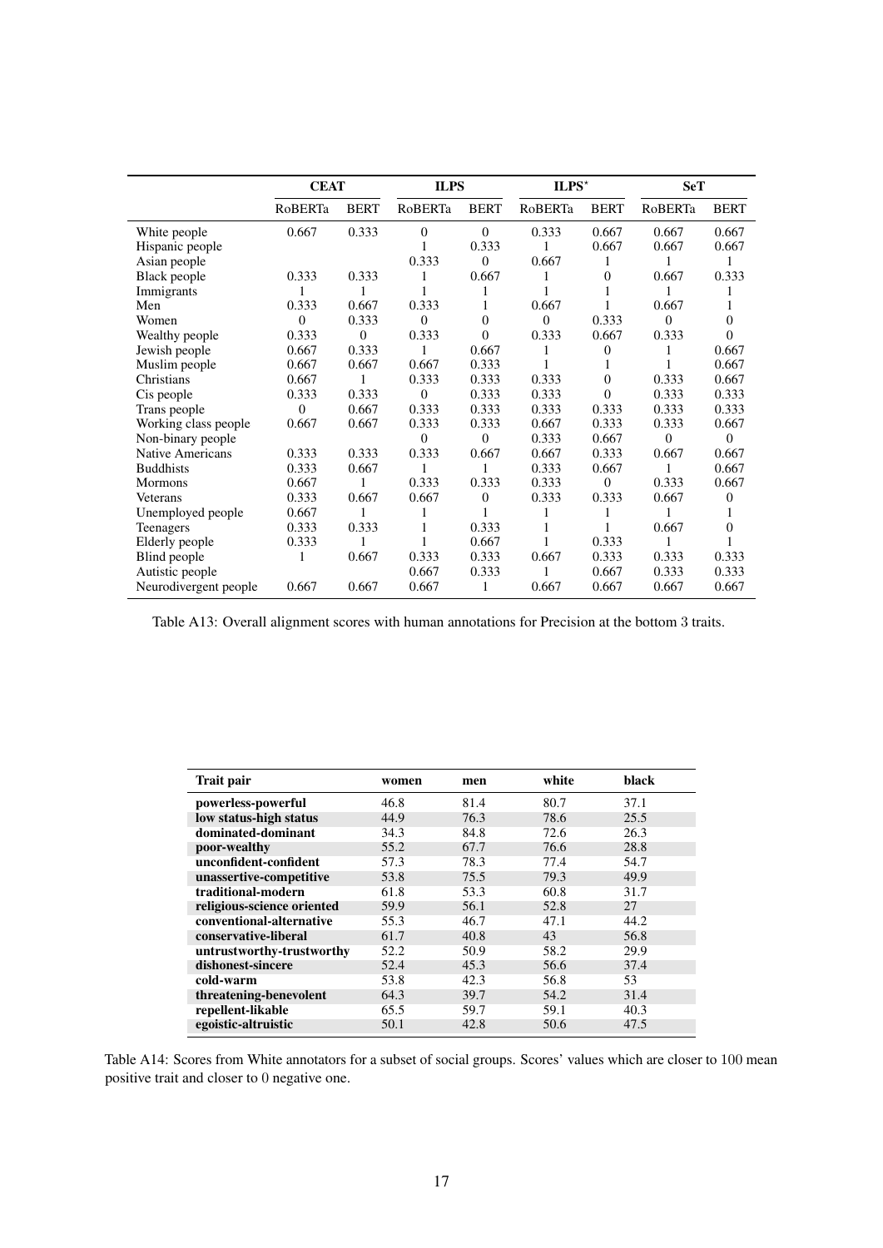<span id="page-16-0"></span>

|                       | <b>CEAT</b> |                | <b>ILPS</b>    |              | $ILPS^{\star}$ |                | <b>SeT</b> |             |
|-----------------------|-------------|----------------|----------------|--------------|----------------|----------------|------------|-------------|
|                       | RoBERTa     | <b>BERT</b>    | <b>RoBERTa</b> | <b>BERT</b>  | RoBERTa        | <b>BERT</b>    | RoBERTa    | <b>BERT</b> |
| White people          | 0.667       | 0.333          | $\overline{0}$ | $\mathbf{0}$ | 0.333          | 0.667          | 0.667      | 0.667       |
| Hispanic people       |             |                |                | 0.333        |                | 0.667          | 0.667      | 0.667       |
| Asian people          |             |                | 0.333          | $\theta$     | 0.667          | 1              |            |             |
| Black people          | 0.333       | 0.333          | 1              | 0.667        | 1              | $\overline{0}$ | 0.667      | 0.333       |
| Immigrants            |             |                |                |              |                |                |            | 1           |
| Men                   | 0.333       | 0.667          | 0.333          |              | 0.667          |                | 0.667      | 1           |
| Women                 | $\theta$    | 0.333          | $\theta$       | $\theta$     | $\theta$       | 0.333          | $\Omega$   | $\theta$    |
| Wealthy people        | 0.333       | $\overline{0}$ | 0.333          | 0            | 0.333          | 0.667          | 0.333      | $\theta$    |
| Jewish people         | 0.667       | 0.333          | 1              | 0.667        | 1              | $\theta$       |            | 0.667       |
| Muslim people         | 0.667       | 0.667          | 0.667          | 0.333        |                |                |            | 0.667       |
| Christians            | 0.667       |                | 0.333          | 0.333        | 0.333          | $\theta$       | 0.333      | 0.667       |
| Cis people            | 0.333       | 0.333          | $\theta$       | 0.333        | 0.333          | $\Omega$       | 0.333      | 0.333       |
| Trans people          | 0           | 0.667          | 0.333          | 0.333        | 0.333          | 0.333          | 0.333      | 0.333       |
| Working class people  | 0.667       | 0.667          | 0.333          | 0.333        | 0.667          | 0.333          | 0.333      | 0.667       |
| Non-binary people     |             |                | $\theta$       | $\theta$     | 0.333          | 0.667          | $\Omega$   | $\theta$    |
| Native Americans      | 0.333       | 0.333          | 0.333          | 0.667        | 0.667          | 0.333          | 0.667      | 0.667       |
| <b>Buddhists</b>      | 0.333       | 0.667          | 1              | 1            | 0.333          | 0.667          | 1          | 0.667       |
| Mormons               | 0.667       | 1              | 0.333          | 0.333        | 0.333          | $\overline{0}$ | 0.333      | 0.667       |
| Veterans              | 0.333       | 0.667          | 0.667          | $\Omega$     | 0.333          | 0.333          | 0.667      | $\Omega$    |
| Unemployed people     | 0.667       |                | 1              |              | 1              |                |            | 1           |
| Teenagers             | 0.333       | 0.333          |                | 0.333        |                |                | 0.667      | $\theta$    |
| Elderly people        | 0.333       | 1              |                | 0.667        |                | 0.333          |            |             |
| Blind people          | 1           | 0.667          | 0.333          | 0.333        | 0.667          | 0.333          | 0.333      | 0.333       |
| Autistic people       |             |                | 0.667          | 0.333        | 1              | 0.667          | 0.333      | 0.333       |
| Neurodivergent people | 0.667       | 0.667          | 0.667          |              | 0.667          | 0.667          | 0.667      | 0.667       |

Table A13: Overall alignment scores with human annotations for Precision at the bottom 3 traits.

<span id="page-16-1"></span>

| Trait pair                 | women | men  | white | black |
|----------------------------|-------|------|-------|-------|
| powerless-powerful         | 46.8  | 81.4 | 80.7  | 37.1  |
| low status-high status     | 44.9  | 76.3 | 78.6  | 25.5  |
| dominated-dominant         | 34.3  | 84.8 | 72.6  | 26.3  |
| poor-wealthy               | 55.2  | 67.7 | 76.6  | 28.8  |
| unconfident-confident      | 57.3  | 78.3 | 77.4  | 54.7  |
| unassertive-competitive    | 53.8  | 75.5 | 79.3  | 49.9  |
| traditional-modern         | 61.8  | 53.3 | 60.8  | 31.7  |
| religious-science oriented | 59.9  | 56.1 | 52.8  | 27    |
| conventional-alternative   | 55.3  | 46.7 | 47.1  | 44.2  |
| conservative-liberal       | 61.7  | 40.8 | 43    | 56.8  |
| untrustworthy-trustworthy  | 52.2  | 50.9 | 58.2  | 29.9  |
| dishonest-sincere          | 52.4  | 45.3 | 56.6  | 37.4  |
| cold-warm                  | 53.8  | 42.3 | 56.8  | 53    |
| threatening-benevolent     | 64.3  | 39.7 | 54.2  | 31.4  |
| repellent-likable          | 65.5  | 59.7 | 59.1  | 40.3  |
| egoistic-altruistic        | 50.1  | 42.8 | 50.6  | 47.5  |
|                            |       |      |       |       |

Table A14: Scores from White annotators for a subset of social groups. Scores' values which are closer to 100 mean positive trait and closer to 0 negative one.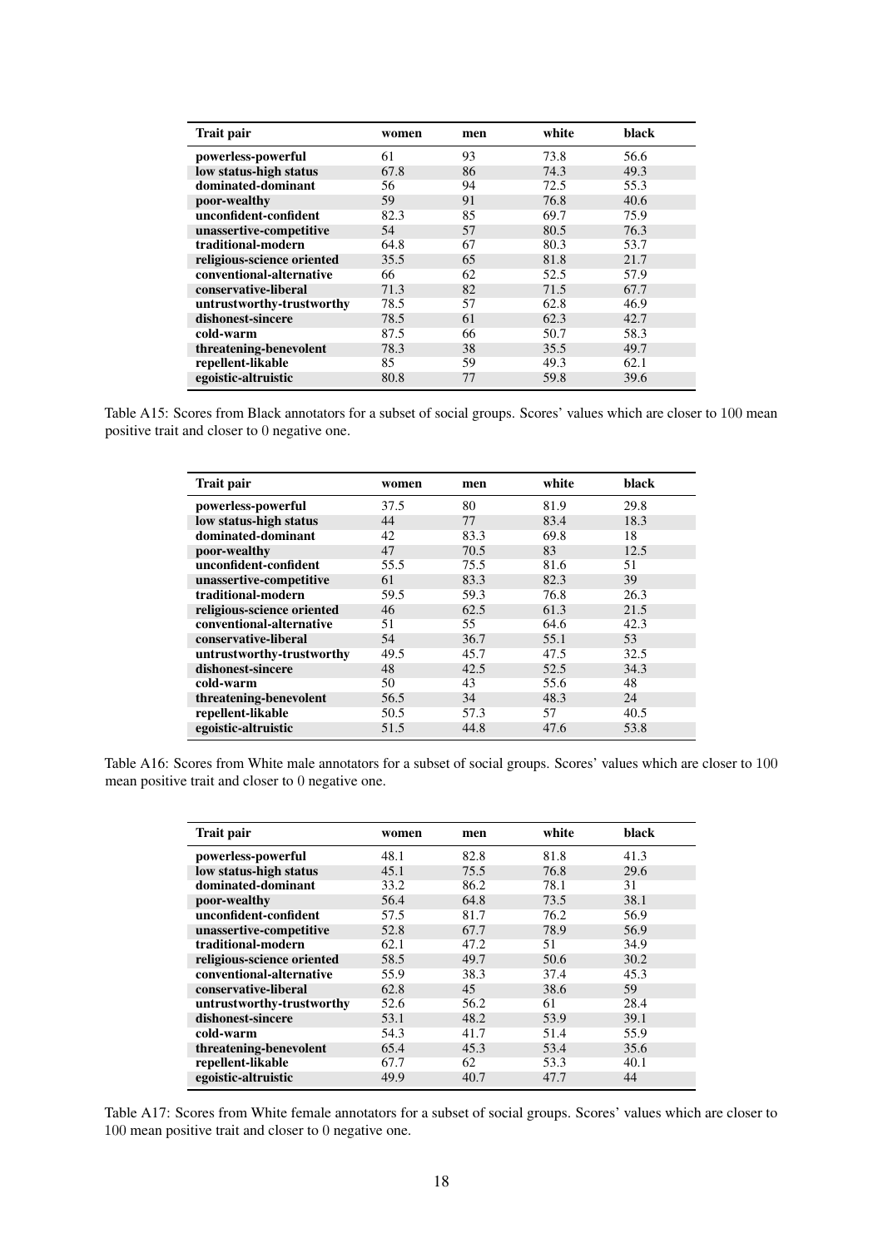<span id="page-17-0"></span>

| <b>Trait pair</b>          | women | men | white | black |
|----------------------------|-------|-----|-------|-------|
| powerless-powerful         | 61    | 93  | 73.8  | 56.6  |
| low status-high status     | 67.8  | 86  | 74.3  | 49.3  |
| dominated-dominant         | 56    | 94  | 72.5  | 55.3  |
| poor-wealthy               | 59    | 91  | 76.8  | 40.6  |
| unconfident-confident      | 82.3  | 85  | 69.7  | 75.9  |
| unassertive-competitive    | 54    | 57  | 80.5  | 76.3  |
| traditional-modern         | 64.8  | 67  | 80.3  | 53.7  |
| religious-science oriented | 35.5  | 65  | 81.8  | 21.7  |
| conventional-alternative   | 66    | 62  | 52.5  | 57.9  |
| conservative-liberal       | 71.3  | 82  | 71.5  | 67.7  |
| untrustworthy-trustworthy  | 78.5  | 57  | 62.8  | 46.9  |
| dishonest-sincere          | 78.5  | 61  | 62.3  | 42.7  |
| cold-warm                  | 87.5  | 66  | 50.7  | 58.3  |
| threatening-benevolent     | 78.3  | 38  | 35.5  | 49.7  |
| repellent-likable          | 85    | 59  | 49.3  | 62.1  |
| egoistic-altruistic        | 80.8  | 77  | 59.8  | 39.6  |

<span id="page-17-1"></span>Table A15: Scores from Black annotators for a subset of social groups. Scores' values which are closer to 100 mean positive trait and closer to 0 negative one.

| Trait pair                 | women | men  | white | black |
|----------------------------|-------|------|-------|-------|
| powerless-powerful         | 37.5  | 80   | 81.9  | 29.8  |
| low status-high status     | 44    | 77   | 83.4  | 18.3  |
| dominated-dominant         | 42    | 83.3 | 69.8  | 18    |
| poor-wealthy               | 47    | 70.5 | 83    | 12.5  |
| unconfident-confident      | 55.5  | 75.5 | 81.6  | 51    |
| unassertive-competitive    | 61    | 83.3 | 82.3  | 39    |
| traditional-modern         | 59.5  | 59.3 | 76.8  | 26.3  |
| religious-science oriented | 46    | 62.5 | 61.3  | 21.5  |
| conventional-alternative   | 51    | 55   | 64.6  | 42.3  |
| conservative-liberal       | 54    | 36.7 | 55.1  | 53    |
| untrustworthy-trustworthy  | 49.5  | 45.7 | 47.5  | 32.5  |
| dishonest-sincere          | 48    | 42.5 | 52.5  | 34.3  |
| cold-warm                  | 50    | 43   | 55.6  | 48    |
| threatening-benevolent     | 56.5  | 34   | 48.3  | 24    |
| repellent-likable          | 50.5  | 57.3 | 57    | 40.5  |
| egoistic-altruistic        | 51.5  | 44.8 | 47.6  | 53.8  |

<span id="page-17-2"></span>Table A16: Scores from White male annotators for a subset of social groups. Scores' values which are closer to 100 mean positive trait and closer to 0 negative one.

| Trait pair                 | women | men  | white | black |
|----------------------------|-------|------|-------|-------|
| powerless-powerful         | 48.1  | 82.8 | 81.8  | 41.3  |
| low status-high status     | 45.1  | 75.5 | 76.8  | 29.6  |
| dominated-dominant         | 33.2  | 86.2 | 78.1  | 31    |
| poor-wealthy               | 56.4  | 64.8 | 73.5  | 38.1  |
| unconfident-confident      | 57.5  | 81.7 | 76.2  | 56.9  |
| unassertive-competitive    | 52.8  | 67.7 | 78.9  | 56.9  |
| traditional-modern         | 62.1  | 47.2 | 51    | 34.9  |
| religious-science oriented | 58.5  | 49.7 | 50.6  | 30.2  |
| conventional-alternative   | 55.9  | 38.3 | 37.4  | 45.3  |
| conservative-liberal       | 62.8  | 45   | 38.6  | 59    |
| untrustworthy-trustworthy  | 52.6  | 56.2 | 61    | 28.4  |
| dishonest-sincere          | 53.1  | 48.2 | 53.9  | 39.1  |
| cold-warm                  | 54.3  | 41.7 | 51.4  | 55.9  |
| threatening-benevolent     | 65.4  | 45.3 | 53.4  | 35.6  |
| repellent-likable          | 67.7  | 62   | 53.3  | 40.1  |
| egoistic-altruistic        | 49.9  | 40.7 | 47.7  | 44    |

Table A17: Scores from White female annotators for a subset of social groups. Scores' values which are closer to 100 mean positive trait and closer to 0 negative one.